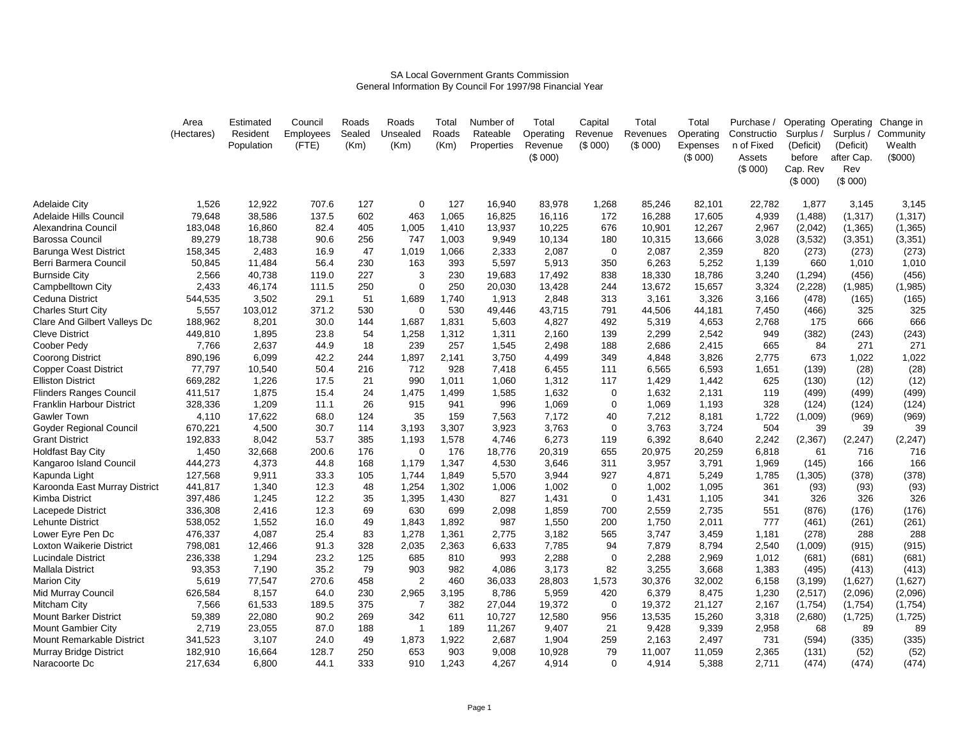#### SA Local Government Grants CommissionGeneral Information By Council For 1997/98 Financial Year

|                                               | Area<br>(Hectares) | Estimated<br>Resident<br>Population | Council<br><b>Employees</b><br>(FTE) | Roads<br>Sealed<br>(Km) | Roads<br>Unsealed<br>(Km) | Total<br>Roads<br>(Km) | Number of<br>Rateable<br>Properties | Total<br>Operating<br>Revenue<br>(\$000) | Capital<br>Revenue<br>(\$000) | Total<br>Revenues<br>(\$000) | Total<br>Operating<br><b>Expenses</b><br>(\$000) | Purchase /<br>Constructio<br>n of Fixed<br>Assets<br>(\$000) | Surplus<br>(Deficit)<br>before<br>Cap. Rev<br>(\$000) | <b>Operating Operating</b><br>Surplus /<br>(Deficit)<br>after Cap.<br>Rev<br>(\$000) | Change in<br>Community<br>Wealth<br>(\$000) |
|-----------------------------------------------|--------------------|-------------------------------------|--------------------------------------|-------------------------|---------------------------|------------------------|-------------------------------------|------------------------------------------|-------------------------------|------------------------------|--------------------------------------------------|--------------------------------------------------------------|-------------------------------------------------------|--------------------------------------------------------------------------------------|---------------------------------------------|
| <b>Adelaide City</b>                          | 1,526              | 12,922                              | 707.6                                | 127                     | $\mathbf 0$               | 127                    | 16,940                              | 83,978                                   | 1,268                         | 85,246                       | 82,101                                           | 22,782                                                       | 1,877                                                 | 3,145                                                                                | 3,145                                       |
| Adelaide Hills Council                        | 79,648             | 38,586                              | 137.5                                | 602                     | 463                       | 1,065                  | 16,825                              | 16,116                                   | 172                           | 16,288                       | 17,605                                           | 4,939                                                        | (1,488)                                               | (1, 317)                                                                             | (1, 317)                                    |
| Alexandrina Council                           | 183,048            | 16,860                              | 82.4                                 | 405                     | 1,005                     | 1,410                  | 13,937                              | 10,225                                   | 676                           | 10,901                       | 12,267                                           | 2,967                                                        | (2,042)                                               | (1,365)                                                                              | (1, 365)                                    |
| <b>Barossa Council</b>                        | 89,279             | 18,738                              | 90.6                                 | 256                     | 747                       | 1,003                  | 9,949                               | 10,134                                   | 180                           | 10,315                       | 13,666                                           | 3,028                                                        | (3, 532)                                              | (3, 351)                                                                             | (3, 351)                                    |
| Barunga West District                         | 158,345            | 2,483                               | 16.9                                 | 47                      | 1,019                     | 1,066                  | 2,333                               | 2,087                                    | $\mathbf 0$                   | 2,087                        | 2,359                                            | 820                                                          | (273)                                                 | (273)                                                                                | (273)                                       |
| Berri Barmera Council                         | 50,845             | 11,484                              | 56.4                                 | 230                     | 163                       | 393                    | 5,597                               | 5,913                                    | 350                           | 6,263                        | 5,252                                            | 1,139                                                        | 660                                                   | 1,010                                                                                | 1,010                                       |
| <b>Burnside City</b>                          | 2,566              | 40,738                              | 119.0                                | 227                     | 3                         | 230                    | 19,683                              | 17,492                                   | 838                           | 18,330                       | 18,786                                           | 3,240                                                        | (1, 294)                                              | (456)                                                                                | (456)                                       |
| Campbelltown City                             | 2,433              | 46,174                              | 111.5                                | 250                     | $\Omega$                  | 250                    | 20,030                              | 13,428                                   | 244                           | 13,672                       | 15,657                                           | 3,324                                                        | (2, 228)                                              | (1,985)                                                                              | (1,985)                                     |
| Ceduna District                               | 544,535            | 3,502                               | 29.1                                 | 51                      | 1,689                     | 1,740                  | 1,913                               | 2,848                                    | 313                           | 3,161                        | 3,326                                            | 3,166                                                        | (478)                                                 | (165)                                                                                | (165)                                       |
| <b>Charles Sturt City</b>                     | 5,557              | 103,012                             | 371.2                                | 530                     | $\Omega$                  | 530                    | 49,446                              | 43,715                                   | 791                           | 44,506                       | 44,181                                           | 7,450                                                        | (466)                                                 | 325                                                                                  | 325                                         |
| Clare And Gilbert Valleys Dc                  | 188,962            | 8,201                               | 30.0                                 | 144                     | 1,687                     | 1,831                  | 5,603                               | 4,827                                    | 492                           | 5,319                        | 4,653                                            | 2,768                                                        | 175                                                   | 666                                                                                  | 666                                         |
| <b>Cleve District</b>                         | 449,810            | 1,895                               | 23.8                                 | 54                      | 1,258                     | 1,312                  | 1,311                               | 2,160                                    | 139                           | 2,299                        | 2,542                                            | 949                                                          | (382)                                                 | (243)                                                                                | (243)                                       |
| Coober Pedy                                   | 7,766              | 2,637                               | 44.9                                 | 18                      | 239                       | 257                    | 1,545                               | 2,498                                    | 188                           | 2,686                        | 2,415                                            | 665                                                          | 84                                                    | 271                                                                                  | 271                                         |
| Coorong District                              | 890,196            | 6,099                               | 42.2                                 | 244                     | 1,897                     | 2,141                  | 3,750                               | 4,499                                    | 349                           | 4,848                        | 3,826                                            | 2,775                                                        | 673                                                   | 1,022                                                                                | 1,022                                       |
| <b>Copper Coast District</b>                  | 77,797             | 10,540                              | 50.4                                 | 216                     | 712                       | 928                    | 7,418                               | 6,455                                    | 111                           | 6,565                        | 6,593                                            | 1,651                                                        | (139)                                                 | (28)                                                                                 | (28)                                        |
| <b>Elliston District</b>                      | 669,282            | 1,226                               | 17.5                                 | 21                      | 990                       | 1,011                  | 1,060                               | 1,312                                    | 117                           | 1,429                        | 1,442                                            | 625                                                          | (130)                                                 | (12)                                                                                 | (12)                                        |
| <b>Flinders Ranges Council</b>                | 411,517            | 1,875                               | 15.4                                 | 24                      | 1,475                     | 1,499                  | 1,585                               | 1,632                                    | $\mathbf 0$                   | 1,632                        | 2,131                                            | 119                                                          | (499)                                                 | (499)                                                                                | (499)                                       |
| <b>Franklin Harbour District</b>              | 328,336            | 1,209                               | 11.1                                 | 26                      | 915                       | 941                    | 996                                 | 1,069                                    | $\mathbf 0$                   | 1,069                        | 1,193                                            | 328                                                          | (124)                                                 | (124)                                                                                | (124)                                       |
| Gawler Town                                   | 4,110              | 17,622                              | 68.0                                 | 124                     | 35                        | 159                    | 7,563                               | 7,172                                    | 40                            | 7,212                        | 8,181                                            | 1,722                                                        | (1,009)                                               | (969)                                                                                | (969)                                       |
| Goyder Regional Council                       | 670,221            | 4,500                               | 30.7                                 | 114                     | 3,193                     | 3,307                  | 3,923                               | 3,763                                    | $\mathbf 0$                   | 3,763                        | 3,724                                            | 504                                                          | 39                                                    | 39                                                                                   | 39                                          |
| <b>Grant District</b>                         | 192,833            | 8,042                               | 53.7                                 | 385                     | 1,193                     | 1,578                  | 4,746                               | 6,273                                    | 119                           | 6,392                        | 8,640                                            | 2,242                                                        | (2, 367)                                              | (2, 247)                                                                             | (2, 247)                                    |
| <b>Holdfast Bay City</b>                      | 1,450              | 32,668                              | 200.6                                | 176                     | $\Omega$                  | 176                    | 18,776                              | 20,319                                   | 655                           | 20,975                       | 20,259                                           | 6,818                                                        | 61                                                    | 716                                                                                  | 716                                         |
| Kangaroo Island Council                       | 444,273            | 4,373                               | 44.8                                 | 168                     | 1,179                     | 1,347                  | 4,530                               | 3,646                                    | 311                           | 3,957                        | 3,791                                            | 1,969                                                        | (145)                                                 | 166                                                                                  | 166                                         |
| Kapunda Light                                 | 127,568            | 9,911                               | 33.3                                 | 105                     | 1,744                     | 1,849                  | 5,570                               | 3,944                                    | 927                           | 4,871                        | 5,249                                            | 1,785                                                        | (1,305)                                               | (378)                                                                                | (378)                                       |
| Karoonda East Murray District                 | 441,817            | 1,340                               | 12.3                                 | 48                      | 1,254                     | 1,302                  | 1,006                               | 1,002                                    | $\mathbf 0$                   | 1,002                        | 1,095                                            | 361                                                          | (93)                                                  | (93)                                                                                 | (93)                                        |
| Kimba District                                | 397,486            | 1,245                               | 12.2                                 | 35                      | 1,395                     | 1,430                  | 827                                 | 1,431                                    | $\mathbf 0$                   | 1,431                        | 1,105                                            | 341                                                          | 326                                                   | 326                                                                                  | 326                                         |
| Lacepede District                             | 336,308<br>538,052 | 2,416<br>1,552                      | 12.3<br>16.0                         | 69<br>49                | 630<br>1,843              | 699<br>1,892           | 2,098<br>987                        | 1,859<br>1,550                           | 700<br>200                    | 2,559<br>1,750               | 2,735<br>2,011                                   | 551<br>777                                                   | (876)<br>(461)                                        | (176)<br>(261)                                                                       | (176)<br>(261)                              |
| <b>Lehunte District</b>                       | 476,337            | 4,087                               | 25.4                                 | 83                      | 1,278                     | 1,361                  | 2,775                               | 3,182                                    | 565                           | 3,747                        |                                                  | 1,181                                                        | (278)                                                 | 288                                                                                  | 288                                         |
| Lower Eyre Pen Dc<br>Loxton Waikerie District | 798,081            | 12,466                              | 91.3                                 | 328                     | 2,035                     | 2,363                  | 6,633                               | 7,785                                    | 94                            | 7,879                        | 3,459<br>8,794                                   | 2,540                                                        | (1,009)                                               | (915)                                                                                | (915)                                       |
| <b>Lucindale District</b>                     | 236,338            | 1,294                               | 23.2                                 | 125                     | 685                       | 810                    | 993                                 | 2,288                                    | $\mathbf 0$                   | 2,288                        | 2,969                                            | 1,012                                                        | (681)                                                 | (681)                                                                                | (681)                                       |
| <b>Mallala District</b>                       | 93,353             | 7,190                               | 35.2                                 | 79                      | 903                       | 982                    | 4,086                               | 3,173                                    | 82                            | 3,255                        | 3,668                                            | 1,383                                                        | (495)                                                 | (413)                                                                                | (413)                                       |
| <b>Marion City</b>                            | 5,619              | 77,547                              | 270.6                                | 458                     | $\overline{2}$            | 460                    | 36,033                              | 28,803                                   | 1,573                         | 30,376                       | 32,002                                           | 6,158                                                        | (3, 199)                                              | (1,627)                                                                              | (1,627)                                     |
| <b>Mid Murray Council</b>                     | 626,584            | 8,157                               | 64.0                                 | 230                     | 2,965                     | 3,195                  | 8,786                               | 5,959                                    | 420                           | 6,379                        | 8,475                                            | 1,230                                                        | (2,517)                                               | (2,096)                                                                              | (2,096)                                     |
| Mitcham City                                  | 7,566              | 61,533                              | 189.5                                | 375                     | $\overline{7}$            | 382                    | 27,044                              | 19,372                                   | $\mathbf 0$                   | 19,372                       | 21,127                                           | 2,167                                                        | (1,754)                                               | (1,754)                                                                              | (1,754)                                     |
| <b>Mount Barker District</b>                  | 59,389             | 22,080                              | 90.2                                 | 269                     | 342                       | 611                    | 10,727                              | 12,580                                   | 956                           | 13,535                       | 15,260                                           | 3,318                                                        | (2,680)                                               | (1, 725)                                                                             | (1,725)                                     |
| <b>Mount Gambier City</b>                     | 2,719              | 23,055                              | 87.0                                 | 188                     | $\mathbf{1}$              | 189                    | 11,267                              | 9,407                                    | 21                            | 9,428                        | 9,339                                            | 2,958                                                        | 68                                                    | 89                                                                                   | 89                                          |
| Mount Remarkable District                     | 341,523            | 3,107                               | 24.0                                 | 49                      | 1,873                     | 1,922                  | 2,687                               | 1,904                                    | 259                           | 2,163                        | 2,497                                            | 731                                                          | (594)                                                 | (335)                                                                                | (335)                                       |
| Murray Bridge District                        | 182,910            | 16,664                              | 128.7                                | 250                     | 653                       | 903                    | 9,008                               | 10,928                                   | 79                            | 11,007                       | 11,059                                           | 2,365                                                        | (131)                                                 | (52)                                                                                 | (52)                                        |
| Naracoorte Dc                                 | 217,634            | 6,800                               | 44.1                                 | 333                     | 910                       | 1,243                  | 4,267                               | 4,914                                    | $\Omega$                      | 4,914                        | 5,388                                            | 2,711                                                        | (474)                                                 | (474)                                                                                | (474)                                       |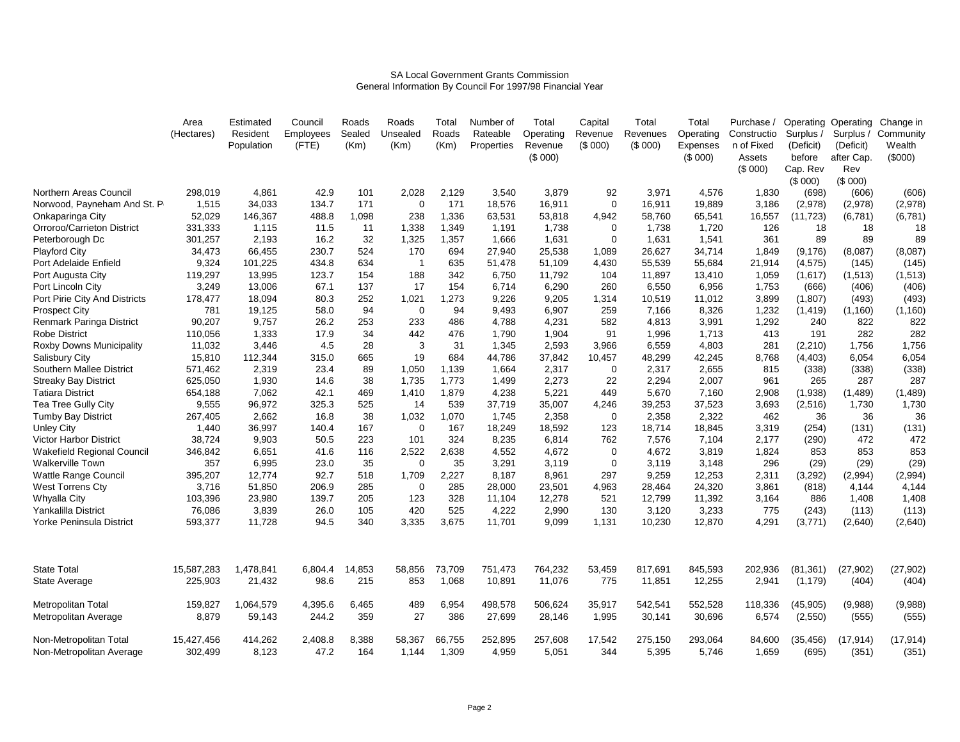#### SA Local Government Grants CommissionGeneral Information By Council For 1997/98 Financial Year

|                                                    | Area<br>(Hectares)    | Estimated<br>Resident<br>Population | Council<br><b>Employees</b><br>(FTE) | Roads<br>Sealed<br>(Km) | Roads<br>Unsealed<br>(Km) | Total<br>Roads<br>(Km) | Number of<br>Rateable<br>Properties | Total<br>Operating<br>Revenue<br>(\$000) | Capital<br>Revenue<br>(\$000) | Total<br>Revenues<br>(S 000) | Total<br>Operating<br><b>Expenses</b><br>(\$000) | Purchase /<br>Constructio<br>n of Fixed<br>Assets<br>(\$000) | Surplus /<br>(Deficit)<br>before<br>Cap. Rev<br>(\$000) | Operating Operating<br>Surplus /<br>(Deficit)<br>after Cap.<br>Rev<br>(S 000) | Change in<br>Community<br>Wealth<br>(\$000) |
|----------------------------------------------------|-----------------------|-------------------------------------|--------------------------------------|-------------------------|---------------------------|------------------------|-------------------------------------|------------------------------------------|-------------------------------|------------------------------|--------------------------------------------------|--------------------------------------------------------------|---------------------------------------------------------|-------------------------------------------------------------------------------|---------------------------------------------|
| Northern Areas Council                             | 298,019               | 4,861                               | 42.9                                 | 101                     | 2,028                     | 2,129                  | 3,540                               | 3,879                                    | 92                            | 3,971                        | 4,576                                            | 1,830                                                        | (698)                                                   | (606)                                                                         | (606)                                       |
| Norwood, Payneham And St. P                        | 1,515                 | 34,033                              | 134.7                                | 171                     | $\Omega$                  | 171                    | 18,576                              | 16,911                                   | $\Omega$                      | 16,911                       | 19,889                                           | 3,186                                                        | (2,978)                                                 | (2,978)                                                                       | (2,978)                                     |
| Onkaparinga City                                   | 52,029                | 146,367                             | 488.8                                | 1,098                   | 238                       | 1,336                  | 63,531                              | 53,818                                   | 4,942                         | 58,760                       | 65,541                                           | 16,557                                                       | (11, 723)                                               | (6,781)                                                                       | (6,781)                                     |
| Orroroo/Carrieton District                         | 331,333               | 1,115                               | 11.5                                 | 11                      | 1,338                     | 1,349                  | 1,191                               | 1,738                                    | $\mathbf 0$                   | 1,738                        | 1,720                                            | 126                                                          | 18                                                      | 18                                                                            | 18                                          |
| Peterborough Dc                                    | 301,257               | 2,193                               | 16.2                                 | 32                      | 1,325                     | 1,357                  | 1,666                               | 1,631                                    | $\mathbf 0$                   | 1,631                        | 1,541                                            | 361                                                          | 89                                                      | 89                                                                            | 89                                          |
| <b>Playford City</b>                               | 34,473                | 66,455                              | 230.7                                | 524                     | 170                       | 694                    | 27,940                              | 25,538                                   | 1,089                         | 26,627                       | 34,714                                           | 1,849                                                        | (9, 176)                                                | (8,087)                                                                       | (8,087)                                     |
| Port Adelaide Enfield                              | 9,324                 | 101,225                             | 434.8                                | 634                     | $\overline{1}$            | 635                    | 51,478                              | 51,109                                   | 4,430                         | 55,539                       | 55,684                                           | 21,914                                                       | (4, 575)                                                | (145)                                                                         | (145)                                       |
| Port Augusta City                                  | 119,297               | 13,995                              | 123.7                                | 154                     | 188                       | 342                    | 6,750                               | 11,792                                   | 104                           | 11,897                       | 13,410                                           | 1,059                                                        | (1,617)                                                 | (1, 513)                                                                      | (1,513)                                     |
| Port Lincoln City                                  | 3,249                 | 13,006                              | 67.1                                 | 137                     | 17                        | 154                    | 6,714                               | 6,290                                    | 260                           | 6,550                        | 6,956                                            | 1,753                                                        | (666)                                                   | (406)                                                                         | (406)                                       |
| Port Pirie City And Districts                      | 178,477               | 18,094                              | 80.3                                 | 252                     | 1,021                     | 1,273                  | 9,226                               | 9,205                                    | 1,314                         | 10,519                       | 11,012                                           | 3,899                                                        | (1,807)                                                 | (493)                                                                         | (493)                                       |
| <b>Prospect City</b>                               | 781                   | 19,125                              | 58.0                                 | 94                      | $\mathbf 0$               | 94                     | 9,493                               | 6,907                                    | 259                           | 7,166                        | 8,326                                            | 1,232                                                        | (1, 419)                                                | (1, 160)                                                                      | (1,160)                                     |
| Renmark Paringa District                           | 90,207                | 9,757                               | 26.2                                 | 253                     | 233                       | 486                    | 4,788                               | 4,231                                    | 582                           | 4,813                        | 3,991                                            | 1,292                                                        | 240                                                     | 822                                                                           | 822                                         |
| <b>Robe District</b>                               | 110,056               | 1,333                               | 17.9                                 | 34                      | 442                       | 476                    | 1,790                               | 1,904                                    | 91                            | 1,996                        | 1,713                                            | 413                                                          | 191                                                     | 282                                                                           | 282                                         |
| Roxby Downs Municipality                           | 11,032                | 3,446                               | 4.5                                  | 28                      | 3                         | 31                     | 1,345                               | 2,593                                    | 3,966                         | 6,559                        | 4,803                                            | 281                                                          | (2, 210)                                                | 1,756                                                                         | 1,756                                       |
| <b>Salisbury City</b>                              | 15,810                | 112,344                             | 315.0                                | 665                     | 19                        | 684                    | 44,786                              | 37,842                                   | 10,457                        | 48,299                       | 42,245                                           | 8,768                                                        | (4, 403)                                                | 6,054                                                                         | 6,054                                       |
| Southern Mallee District                           | 571,462               | 2,319                               | 23.4                                 | 89                      | 1,050                     | 1,139                  | 1,664                               | 2,317                                    | 0                             | 2,317                        | 2,655                                            | 815                                                          | (338)                                                   | (338)                                                                         | (338)                                       |
| <b>Streaky Bay District</b>                        | 625,050               | 1,930                               | 14.6                                 | 38                      | 1,735                     | 1,773                  | 1,499                               | 2,273                                    | 22                            | 2,294                        | 2,007                                            | 961                                                          | 265                                                     | 287                                                                           | 287                                         |
| <b>Tatiara District</b>                            | 654,188               | 7,062                               | 42.1                                 | 469                     | 1,410                     | 1,879                  | 4,238                               | 5,221                                    | 449                           | 5,670                        | 7,160                                            | 2,908                                                        | (1,938)                                                 | (1,489)                                                                       | (1, 489)                                    |
| Tea Tree Gully City                                | 9,555                 | 96,972                              | 325.3                                | 525                     | 14                        | 539                    | 37,719                              | 35,007                                   | 4,246                         | 39,253                       | 37,523                                           | 3,693                                                        | (2, 516)                                                | 1,730                                                                         | 1,730                                       |
| <b>Tumby Bay District</b>                          | 267,405               | 2.662                               | 16.8                                 | 38                      | 1,032                     | 1,070                  | 1,745                               | 2,358                                    | $\mathbf 0$                   | 2,358                        | 2,322                                            | 462                                                          | 36                                                      | 36                                                                            | 36                                          |
| <b>Unley City</b>                                  | 1.440                 | 36,997                              | 140.4                                | 167                     | $\mathbf 0$               | 167                    | 18,249                              | 18,592                                   | 123                           | 18,714                       | 18,845                                           | 3,319                                                        | (254)                                                   | (131)                                                                         | (131)                                       |
| <b>Victor Harbor District</b>                      | 38,724                | 9,903                               | 50.5                                 | 223                     | 101                       | 324                    | 8,235                               | 6,814                                    | 762                           | 7,576                        | 7,104                                            | 2,177                                                        | (290)                                                   | 472                                                                           | 472                                         |
| <b>Wakefield Regional Council</b>                  | 346,842               | 6,651                               | 41.6                                 | 116                     | 2,522                     | 2,638                  | 4,552                               | 4,672                                    | $\mathbf 0$                   | 4,672                        | 3,819                                            | 1,824                                                        | 853                                                     | 853                                                                           | 853                                         |
| <b>Walkerville Town</b>                            | 357                   | 6,995                               | 23.0                                 | 35                      | $\Omega$                  | 35                     | 3,291                               | 3,119                                    | $\mathbf 0$                   | 3,119                        | 3,148                                            | 296                                                          | (29)                                                    | (29)                                                                          | (29)                                        |
| <b>Wattle Range Council</b>                        | 395,207               | 12,774                              | 92.7                                 | 518                     | 1,709                     | 2,227                  | 8,187                               | 8,961                                    | 297                           | 9,259                        | 12,253                                           | 2,311                                                        | (3,292)                                                 | (2,994)                                                                       | (2,994)                                     |
| <b>West Torrens Cty</b>                            | 3,716                 | 51,850                              | 206.9                                | 285                     | $\mathbf 0$               | 285                    | 28,000                              | 23,501                                   | 4,963                         | 28,464                       | 24,320                                           | 3,861                                                        | (818)                                                   | 4,144                                                                         | 4,144                                       |
| <b>Whyalla City</b>                                | 103,396               | 23,980                              | 139.7                                | 205                     | 123                       | 328                    | 11,104                              | 12,278                                   | 521                           | 12,799                       | 11,392                                           | 3,164                                                        | 886                                                     | 1,408                                                                         | 1,408                                       |
| <b>Yankalilla District</b>                         | 76,086                | 3,839                               | 26.0                                 | 105                     | 420                       | 525                    | 4,222                               | 2,990                                    | 130                           | 3,120                        | 3,233                                            | 775                                                          | (243)                                                   | (113)                                                                         | (113)                                       |
| Yorke Peninsula District                           | 593,377               | 11,728                              | 94.5                                 | 340                     | 3,335                     | 3,675                  | 11,701                              | 9,099                                    | 1,131                         | 10,230                       | 12,870                                           | 4,291                                                        | (3,771)                                                 | (2,640)                                                                       | (2,640)                                     |
| <b>State Total</b>                                 | 15,587,283            | 1,478,841                           | 6,804.4                              | 14,853                  | 58,856                    | 73,709                 | 751,473                             | 764,232                                  | 53,459                        | 817,691                      | 845,593                                          | 202,936                                                      | (81, 361)                                               | (27, 902)                                                                     | (27, 902)                                   |
| State Average                                      | 225,903               | 21,432                              | 98.6                                 | 215                     | 853                       | 1,068                  | 10,891                              | 11,076                                   | 775                           | 11,851                       | 12,255                                           | 2,941                                                        | (1, 179)                                                | (404)                                                                         | (404)                                       |
| Metropolitan Total                                 | 159,827               | 1,064,579                           | 4,395.6                              | 6,465                   | 489                       | 6,954                  | 498,578                             | 506,624                                  | 35,917                        | 542,541                      | 552,528                                          | 118,336                                                      | (45,905)                                                | (9,988)                                                                       | (9,988)                                     |
| Metropolitan Average                               | 8,879                 | 59,143                              | 244.2                                | 359                     | 27                        | 386                    | 27,699                              | 28,146                                   | 1,995                         | 30,141                       | 30,696                                           | 6,574                                                        | (2,550)                                                 | (555)                                                                         | (555)                                       |
| Non-Metropolitan Total<br>Non-Metropolitan Average | 15,427,456<br>302,499 | 414,262<br>8,123                    | 2,408.8<br>47.2                      | 8,388<br>164            | 58,367<br>1,144           | 66,755<br>1,309        | 252,895<br>4,959                    | 257,608<br>5,051                         | 17,542<br>344                 | 275,150<br>5,395             | 293,064<br>5,746                                 | 84,600<br>1,659                                              | (35,456)<br>(695)                                       | (17, 914)<br>(351)                                                            | (17, 914)<br>(351)                          |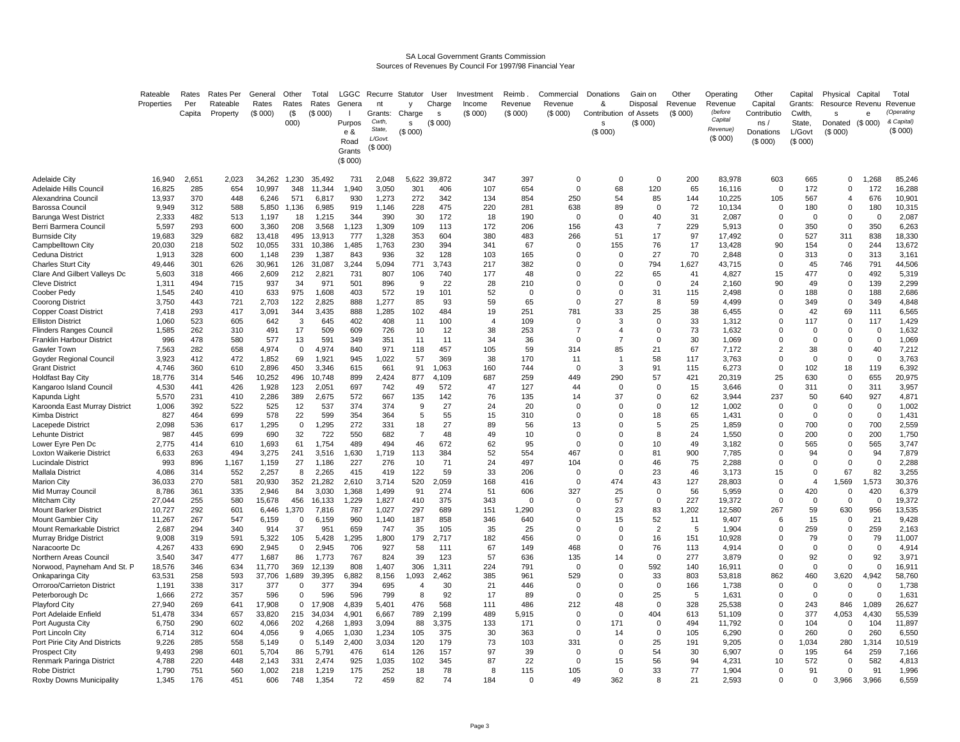#### SA Local Government Grants CommissionSources of Revenues By Council For 1997/98 Financial Year

|                                            | Rateable<br>Properties | Rates<br>Per<br>Capita | Rates Per<br>Rateable<br>Property | General<br>Rates<br>(\$000) | Other<br>Rates<br>$($ \$<br>000) | Total<br>Rates<br>(\$000) | LGGC<br>Genera<br>Purpos<br>$e$ &<br>Road<br>Grants<br>(S 000) | Recurre Statutor<br>nt<br>Grants:<br>Cwth.<br>State.<br>L/Govt.<br>(\$000) | v<br>Charge<br>s<br>(\$000) | User<br>Charge<br>s<br>(\$000) | Investment<br>Income<br>(\$000) | Reimb.<br>Revenue<br>(\$000) | Commercial<br>Revenue<br>(\$000) | Donations<br>&<br>Contribution<br>s<br>(\$000) | Gain on<br>Disposal<br>of Assets<br>(\$000) | Other<br>Revenue<br>(S 000) | Operating<br>Revenue<br>(before<br>Capital<br>Revenue)<br>(\$000) | Other<br>Capital<br>Contributio<br>ns/<br>Donations<br>(\$000) | Capital<br>Grants:<br>Cwlth.<br>State,<br>L/Govt<br>(S 000) | Physical<br>Resource Revenu<br><b>S</b><br>Donated (\$ 000)<br>(\$000) | Capital<br>e       | Total<br>Revenue<br>(Operating<br>& Capital)<br>(S 000) |
|--------------------------------------------|------------------------|------------------------|-----------------------------------|-----------------------------|----------------------------------|---------------------------|----------------------------------------------------------------|----------------------------------------------------------------------------|-----------------------------|--------------------------------|---------------------------------|------------------------------|----------------------------------|------------------------------------------------|---------------------------------------------|-----------------------------|-------------------------------------------------------------------|----------------------------------------------------------------|-------------------------------------------------------------|------------------------------------------------------------------------|--------------------|---------------------------------------------------------|
| Adelaide City                              | 16,940                 | 2,651                  | 2,023                             | 34,262                      | 1,230                            | 35,492                    | 731                                                            | 2,048                                                                      |                             | 5,622 39,872                   | 347                             | 397                          | $\mathbf 0$                      | 0                                              | 0                                           | 200                         | 83,978                                                            | 603                                                            | 665                                                         | 0                                                                      | 1,268              | 85,246                                                  |
| Adelaide Hills Council                     | 16.825                 | 285                    | 654                               | 10,997                      | 348                              | 11.344                    | 1.940                                                          | 3,050                                                                      | 301                         | 406                            | 107                             | 654                          | $\Omega$                         | 68                                             | 120                                         | 65                          | 16.116                                                            | $\mathbf 0$                                                    | 172                                                         | $\Omega$                                                               | 172                | 16,288                                                  |
| Alexandrina Council                        | 13,937                 | 370                    | 448                               | 6,246                       | 571                              | 6,817<br>6,985            | 930                                                            | 1,273                                                                      | 272                         | 342<br>475                     | 134                             | 854                          | 250                              | 54                                             | 85                                          | 144                         | 10,225                                                            | 105                                                            | 567                                                         | 4<br>$\mathbf 0$                                                       | 676                | 10,901<br>10,315                                        |
| Barossa Council<br>Barunga West District   | 9,949<br>2,333         | 312<br>482             | 588<br>513                        | 5,850<br>1,197              | 1,136<br>18                      | 1,215                     | 919<br>344                                                     | 1,146<br>390                                                               | 228<br>30                   | 172                            | 220<br>18                       | 281<br>190                   | 638<br>$\Omega$                  | 89<br>$\Omega$                                 | $\mathbf 0$<br>40                           | 72<br>31                    | 10,134<br>2,087                                                   | 0<br>$\Omega$                                                  | 180<br>$\Omega$                                             | $\Omega$                                                               | 180<br>$\mathbf 0$ | 2,087                                                   |
| Berri Barmera Council                      | 5,597                  | 293                    | 600                               | 3,360                       | 208                              | 3,568                     | 1,123                                                          | 1,309                                                                      | 109                         | 113                            | 172                             | 206                          | 156                              | 43                                             | $\overline{7}$                              | 229                         | 5.913                                                             | $\Omega$                                                       | 350                                                         | $\Omega$                                                               | 350                | 6,263                                                   |
| Burnside City                              | 19,683                 | 329                    | 682                               | 13,418                      | 495                              | 13,913                    | 777                                                            | 1,328                                                                      | 353                         | 604                            | 380                             | 483                          | 266                              | 51                                             | 17                                          | 97                          | 17,492                                                            | $\mathbf 0$                                                    | 527                                                         | 311                                                                    | 838                | 18,330                                                  |
| Campbelltown City                          | 20,030                 | 218                    | 502                               | 10,055                      | 331                              | 10,386                    | 1.485                                                          | 1,763                                                                      | 230                         | 394                            | 341                             | 67                           | $\Omega$                         | 155                                            | 76                                          | 17                          | 13,428                                                            | 90                                                             | 154                                                         | $\Omega$                                                               | 244                | 13,672                                                  |
| Ceduna District                            | 1,913                  | 328                    | 600                               | 1,148                       | 239                              | 1,387                     | 843                                                            | 936                                                                        | 32                          | 128                            | 103                             | 165                          | $\Omega$                         | $\mathbf 0$                                    | 27                                          | 70                          | 2.848                                                             | $\mathbf 0$                                                    | 313                                                         | $\Omega$                                                               | 313                | 3,161                                                   |
| Charles Sturt City                         | 49.446                 | 301                    | 626                               | 30,961                      | 126                              | 31,087                    | 3.244                                                          | 5,094                                                                      | 771                         | 3.743                          | 217                             | 382                          | $\Omega$                         | $\Omega$                                       | 794                                         | 1,627                       | 43.715                                                            | $\Omega$                                                       | 45                                                          | 746                                                                    | 791                | 44,506                                                  |
| Clare And Gilbert Valleys Dc               | 5,603                  | 318                    | 466                               | 2,609                       | 212                              | 2,821                     | 731                                                            | 807                                                                        | 106                         | 740                            | 177                             | 48                           | $\Omega$                         | 22                                             | 65                                          | 41                          | 4,827                                                             | 15                                                             | 477                                                         | $\Omega$                                                               | 492                | 5,319                                                   |
| Cleve District                             | 1,311                  | 494                    | 715                               | 937                         | 34                               | 971                       | 501                                                            | 896                                                                        | 9                           | 22                             | 28                              | 210                          | 0                                | 0                                              | 0                                           | 24                          | 2,160                                                             | 90                                                             | 49                                                          | 0                                                                      | 139                | 2,299                                                   |
| Coober Pedy                                | 1,545                  | 240                    | 410                               | 633                         | 975                              | 1,608                     | 403                                                            | 572                                                                        | 19                          | 101                            | 52                              | $\Omega$                     | $\Omega$                         | $\mathbf 0$                                    | 31                                          | 115                         | 2,498                                                             | $\Omega$                                                       | 188                                                         | $\Omega$                                                               | 188                | 2,686                                                   |
| Coorong District                           | 3.750                  | 443                    | 721                               | 2.703                       | 122                              | 2.825                     | 888                                                            | 1.277                                                                      | 85                          | 93                             | 59                              | 65                           | $\Omega$                         | 27                                             | 8                                           | 59                          | 4.499                                                             | $\Omega$                                                       | 349                                                         | $\Omega$                                                               | 349                | 4,848                                                   |
| Copper Coast District                      | 7,418                  | 293                    | 417                               | 3,091                       | 344                              | 3,435                     | 888                                                            | 1,285                                                                      | 102                         | 484                            | 19                              | 251                          | 781                              | 33                                             | 25                                          | 38                          | 6.455                                                             | $\Omega$                                                       | 42                                                          | 69                                                                     | 111                | 6,565                                                   |
| <b>Elliston District</b>                   | 1,060                  | 523                    | 605                               | 642                         | 3                                | 645                       | 402                                                            | 408                                                                        | 11                          | 100                            | $\overline{4}$                  | 109                          | $\Omega$                         | 3                                              | $\mathbf 0$                                 | 33                          | 1,312                                                             | $\Omega$                                                       | 117                                                         | $\Omega$                                                               | 117                | 1,429                                                   |
| Flinders Ranges Council                    | 1,585                  | 262                    | 310                               | 491                         | 17                               | 509                       | 609                                                            | 726                                                                        | 10                          | $12 \overline{ }$              | 38                              | 253                          | $\overline{7}$                   | $\overline{4}$                                 | $\Omega$                                    | 73                          | 1.632                                                             | $\Omega$                                                       | 0                                                           | $\Omega$                                                               | $\mathbf 0$        | 1,632                                                   |
| Franklin Harbour District                  | 996<br>7,563           | 478<br>282             | 580<br>658                        | 577<br>4,974                | 13<br>$\mathbf 0$                | 591<br>4,974              | 349<br>840                                                     | 351<br>971                                                                 | 11<br>118                   | 11<br>457                      | 34<br>105                       | 36<br>59                     | $\Omega$<br>314                  | $\overline{7}$<br>85                           | 0<br>21                                     | 30<br>67                    | 1,069<br>7,172                                                    | $\Omega$<br>$\overline{2}$                                     | $\Omega$<br>38                                              | $\mathbf 0$<br>$\mathbf 0$                                             | 0<br>40            | 1,069<br>7,212                                          |
| Gawler Town<br>Goyder Regional Council     | 3,923                  | 412                    | 472                               | 1,852                       | 69                               | 1,921                     | 945                                                            | 1,022                                                                      | 57                          | 369                            | 38                              | 170                          | 11                               | $\mathbf{1}$                                   | 58                                          | 117                         | 3.763                                                             | $\Omega$                                                       | $\Omega$                                                    | $\Omega$                                                               | $\mathbf 0$        | 3,763                                                   |
| <b>Grant District</b>                      | 4.746                  | 360                    | 610                               | 2,896                       | 450                              | 3,346                     | 615                                                            | 661                                                                        | 91                          | 1.063                          | 160                             | 744                          | $\Omega$                         | 3                                              | 91                                          | 115                         | 6,273                                                             | $\Omega$                                                       | 102                                                         | 18                                                                     | 119                | 6,392                                                   |
| Holdfast Bay City                          | 18,776                 | 314                    | 546                               | 10,252                      | 496                              | 10,748                    | 899                                                            | 2,424                                                                      | 877                         | 4,109                          | 687                             | 259                          | 449                              | 290                                            | 57                                          | 421                         | 20,319                                                            | 25                                                             | 630                                                         | $\mathbf 0$                                                            | 655                | 20,975                                                  |
| Kangaroo Island Council                    | 4,530                  | 441                    | 426                               | 1,928                       | 123                              | 2,051                     | 697                                                            | 742                                                                        | 49                          | 572                            | 47                              | 127                          | 44                               | 0                                              | 0                                           | 15                          | 3,646                                                             | $\mathbf 0$                                                    | 311                                                         | $\mathbf 0$                                                            | 311                | 3,957                                                   |
| Kapunda Light                              | 5,570                  | 231                    | 410                               | 2,286                       | 389                              | 2,675                     | 572                                                            | 667                                                                        | 135                         | 142                            | 76                              | 135                          | 14                               | 37                                             | $\Omega$                                    | 62                          | 3,944                                                             | 237                                                            | 50                                                          | 640                                                                    | 927                | 4,871                                                   |
| Karoonda East Murray District              | 1,006                  | 392                    | 522                               | 525                         | 12                               | 537                       | 374                                                            | 374                                                                        | 9                           | 27                             | 24                              | 20                           | $\Omega$                         | $\Omega$                                       | $\Omega$                                    | 12                          | 1,002                                                             | $\Omega$                                                       | $\Omega$                                                    | $\mathbf 0$                                                            | $\mathbf 0$        | 1,002                                                   |
| Kimba District                             | 827                    | 464                    | 699                               | 578                         | 22                               | 599                       | 354                                                            | 364                                                                        | 5                           | 55                             | 15                              | 310                          | $\Omega$                         | $\Omega$                                       | 18                                          | 65                          | 1.431                                                             | $\Omega$                                                       | $\Omega$                                                    | $\Omega$                                                               | $\mathbf 0$        | 1,431                                                   |
| Lacepede District                          | 2,098                  | 536                    | 617                               | 1,295                       | $\mathbf 0$                      | 1,295                     | 272                                                            | 331                                                                        | 18                          | 27                             | 89                              | 56                           | 13                               | $\Omega$                                       | 5                                           | 25                          | 1,859                                                             | $\Omega$                                                       | 700                                                         | $\Omega$                                                               | 700                | 2,559                                                   |
| Lehunte District                           | 987                    | 445                    | 699                               | 690                         | 32                               | 722                       | 550                                                            | 682                                                                        | $\overline{7}$              | 48                             | 49                              | 10                           | $\Omega$                         | $\Omega$                                       | 8                                           | 24                          | 1,550                                                             | $\mathbf 0$                                                    | 200                                                         | $\mathbf 0$                                                            | 200                | 1,750                                                   |
| Lower Eyre Pen Dc                          | 2.775                  | 414                    | 610                               | 1,693                       | 61                               | 1,754                     | 489                                                            | 494                                                                        | 46                          | 672                            | 62                              | 95                           | $\Omega$                         | $\Omega$                                       | 10                                          | 49                          | 3.182                                                             | $\Omega$                                                       | 565                                                         | $\Omega$                                                               | 565                | 3,747                                                   |
| Loxton Waikerie District                   | 6,633                  | 263                    | 494                               | 3,275                       | 241                              | 3,516                     | 1,630                                                          | 1,719                                                                      | 113                         | 384                            | 52                              | 554                          | 467                              | $\Omega$                                       | 81                                          | 900                         | 7,785                                                             | $\mathbf 0$                                                    | 94                                                          | 0                                                                      | 94                 | 7,879                                                   |
| Lucindale District<br>Mallala District     | 993                    | 896<br>314             | 1,167<br>552                      | 1,159<br>2,257              | 27<br>8                          | 1,186                     | 227<br>415                                                     | 276<br>419                                                                 | 10                          | 71<br>59                       | 24<br>33                        | 497<br>206                   | 104<br>$\Omega$                  | 0<br>$\Omega$                                  | 46<br>23                                    | 75<br>46                    | 2,288<br>3.173                                                    | $\mathbf 0$<br>15                                              | $\mathbf 0$<br>$\Omega$                                     | $\overline{0}$<br>67                                                   | 0<br>82            | 2,288<br>3,255                                          |
| Marion City                                | 4,086<br>36.033        | 270                    | 581                               | 20.930                      | 352                              | 2,265<br>21.282           | 2.610                                                          | 3,714                                                                      | 122<br>520                  | 2.059                          | 168                             | 416                          | $\Omega$                         | 474                                            | 43                                          | 127                         | 28.803                                                            | $\Omega$                                                       | $\overline{4}$                                              | 1,569                                                                  | 1.573              | 30,376                                                  |
| Mid Murray Council                         | 8,786                  | 361                    | 335                               | 2,946                       | 84                               | 3,030                     | 1,368                                                          | 1,499                                                                      | 91                          | 274                            | 51                              | 606                          | 327                              | 25                                             | $\mathbf 0$                                 | 56                          | 5,959                                                             | $\Omega$                                                       | 420                                                         | $\Omega$                                                               | 420                | 6,379                                                   |
| Mitcham City                               | 27,044                 | 255                    | 580                               | 15,678                      | 456                              | 16,133                    | 1,229                                                          | 1,827                                                                      | 410                         | 375                            | 343                             | $\Omega$                     | $\Omega$                         | 57                                             | $\mathbf 0$                                 | 227                         | 19,372                                                            | $\Omega$                                                       | $\Omega$                                                    | $\Omega$                                                               | $\Omega$           | 19,372                                                  |
| Mount Barker District                      | 10,727                 | 292                    | 601                               | 6,446                       | ,370                             | 7,816                     | 787                                                            | 1,027                                                                      | 297                         | 689                            | 151                             | 1,290                        | $\mathbf 0$                      | 23                                             | 83                                          | 1,202                       | 12,580                                                            | 267                                                            | 59                                                          | 630                                                                    | 956                | 13,535                                                  |
| <b>Mount Gambier City</b>                  | 11,267                 | 267                    | 547                               | 6,159                       | $\mathbf 0$                      | 6,159                     | 960                                                            | 1,140                                                                      | 187                         | 858                            | 346                             | 640                          | $\Omega$                         | 15                                             | 52                                          | 11                          | 9,407                                                             | 6                                                              | 15                                                          | $\mathbf 0$                                                            | 21                 | 9,428                                                   |
| Mount Remarkable District                  | 2,687                  | 294                    | 340                               | 914                         | 37                               | 951                       | 659                                                            | 747                                                                        | 35                          | 105                            | 35                              | 25                           | $\Omega$                         | $\Omega$                                       | 2                                           | 5                           | 1.904                                                             | $\Omega$                                                       | 259                                                         | $\Omega$                                                               | 259                | 2,163                                                   |
| Murray Bridge District                     | 9,008                  | 319                    | 591                               | 5,322                       | 105                              | 5,428                     | 1,295                                                          | 1,800                                                                      | 179                         | 2,717                          | 182                             | 456                          | $\Omega$                         | $\Omega$                                       | 16                                          | 151                         | 10,928                                                            | $\Omega$                                                       | 79                                                          | $\mathbf 0$                                                            | 79                 | 11,007                                                  |
| Naracoorte Dc                              | 4,267                  | 433                    | 690                               | 2,945                       | $\mathbf 0$                      | 2,945                     | 706                                                            | 927                                                                        | 58                          | 111                            | 67                              | 149                          | 468                              | $\Omega$                                       | 76                                          | 113                         | 4,914                                                             | $\Omega$                                                       | $\Omega$                                                    | $\Omega$                                                               | $\Omega$           | 4,914                                                   |
| Northern Areas Council                     | 3,540                  | 347                    | 477                               | 1,687                       | 86                               | 1,773                     | 767                                                            | 824                                                                        | 39                          | 123                            | 57                              | 636                          | 135                              | 14                                             | $\Omega$                                    | 277                         | 3.879                                                             | $\Omega$                                                       | 92                                                          | $\Omega$                                                               | 92                 | 3,971                                                   |
| Norwood, Payneham And St. P                | 18,576                 | 346                    | 634                               | 11,770                      | 369                              | 12,139                    | 808                                                            | 1,407                                                                      | 306                         | 1,311                          | 224                             | 791                          | 0                                | 0                                              | 592                                         | 140                         | 16,911                                                            | $\mathbf 0$                                                    | 0                                                           | $\mathbf 0$                                                            | 0                  | 16,911                                                  |
| Onkaparinga City                           | 63,531                 | 258                    | 593                               | 37,706                      | ,689                             | 39,395                    | 6,882                                                          | 8,156                                                                      | 1,093                       | 2,462                          | 385                             | 961                          | 529                              | $\Omega$                                       | 33                                          | 803                         | 53,818                                                            | 862                                                            | 460                                                         | 3,620                                                                  | 4,942              | 58,760                                                  |
| Orroroo/Carrieton District                 | 1,191                  | 338                    | 317                               | 377                         | $\mathbf 0$                      | 377                       | 394                                                            | 695                                                                        | $\overline{4}$              | 30                             | 21                              | 446                          | $\Omega$                         | $\Omega$                                       | $\Omega$                                    | 166                         | 1.738                                                             | $\Omega$                                                       | $\Omega$                                                    | $\Omega$                                                               | $\Omega$           | 1,738                                                   |
| Peterborough Dc                            | 1,666                  | 272                    | 357                               | 596                         | $\Omega$                         | 596                       | 596                                                            | 799                                                                        | 8                           | 92<br>568                      | 17                              | 89                           | $\Omega$                         | $\Omega$                                       | 25                                          | 5                           | 1.631                                                             | $\Omega$<br>$\Omega$                                           | $\Omega$                                                    | $\Omega$                                                               | $\Omega$           | 1,631                                                   |
| <b>Playford City</b>                       | 27,940<br>51,478       | 269<br>334             | 641<br>657                        | 17,908<br>33,820            | $\mathbf 0$                      | 17,908<br>34,034          | 4.839<br>4,901                                                 | 5,401<br>6,667                                                             | 476<br>789                  | 2,199                          | 111<br>489                      | 486<br>5,915                 | 212<br>$\mathbf 0$               | 48<br>$\Omega$                                 | $\mathbf 0$<br>404                          | 328<br>613                  | 25,538<br>51,109                                                  | $\mathbf 0$                                                    | 243<br>377                                                  | 846<br>4,053                                                           | 1,089<br>4,430     | 26,627<br>55,539                                        |
| Port Adelaide Enfield<br>Port Augusta City | 6,750                  | 290                    | 602                               | 4,066                       | 215<br>202                       | 4,268                     | 1,893                                                          | 3,094                                                                      | 88                          | 3,375                          | 133                             | 171                          | $\Omega$                         | 171                                            | $\mathbf 0$                                 | 494                         | 11,792                                                            | $\Omega$                                                       | 104                                                         | $\mathbf{0}$                                                           | 104                | 11,897                                                  |
| Port Lincoln City                          | 6,714                  | 312                    | 604                               | 4,056                       | 9                                | 4,065                     | 1,030                                                          | 1,234                                                                      | 105                         | 375                            | 30                              | 363                          | $\Omega$                         | 14                                             | $\Omega$                                    | 105                         | 6,290                                                             | $\mathbf 0$                                                    | 260                                                         | $\mathbf 0$                                                            | 260                | 6,550                                                   |
| Port Pirie City And Districts              | 9,226                  | 285                    | 558                               | 5,149                       | $\mathbf 0$                      | 5,149                     | 2,400                                                          | 3,034                                                                      | 120                         | 179                            | 73                              | 103                          | 331                              | $\Omega$                                       | 25                                          | 191                         | 9,205                                                             | $\Omega$                                                       | 1,034                                                       | 280                                                                    | 1,314              | 10,519                                                  |
| Prospect City                              | 9,493                  | 298                    | 601                               | 5,704                       | 86                               | 5,791                     | 476                                                            | 614                                                                        | 126                         | 157                            | 97                              | 39                           | $\Omega$                         | $\Omega$                                       | 54                                          | 30                          | 6,907                                                             | $\Omega$                                                       | 195                                                         | 64                                                                     | 259                | 7,166                                                   |
| Renmark Paringa District                   | 4,788                  | 220                    | 448                               | 2,143                       | 331                              | 2,474                     | 925                                                            | 1,035                                                                      | 102                         | 345                            | 87                              | 22                           | $\Omega$                         | 15                                             | 56                                          | 94                          | 4,231                                                             | 10                                                             | 572                                                         | $\Omega$                                                               | 582                | 4,813                                                   |
| Robe District                              | 1,790                  | 751                    | 560                               | 1,002                       | 218                              | 1,219                     | 175                                                            | 252                                                                        | 18                          | 78                             | 8                               | 115                          | 105                              | $\Omega$                                       | 33                                          | 77                          | 1,904                                                             | $\Omega$                                                       | 91                                                          | $\Omega$                                                               | 91                 | 1,996                                                   |
| Roxby Downs Municipality                   | 1,345                  | 176                    | 451                               | 606                         | 748                              | 1,354                     | 72                                                             | 459                                                                        | 82                          | 74                             | 184                             | $\Omega$                     | 49                               | 362                                            | 8                                           | 21                          | 2,593                                                             | $\Omega$                                                       | $\Omega$                                                    | 3,966                                                                  | 3,966              | 6,559                                                   |
|                                            |                        |                        |                                   |                             |                                  |                           |                                                                |                                                                            |                             |                                |                                 |                              |                                  |                                                |                                             |                             |                                                                   |                                                                |                                                             |                                                                        |                    |                                                         |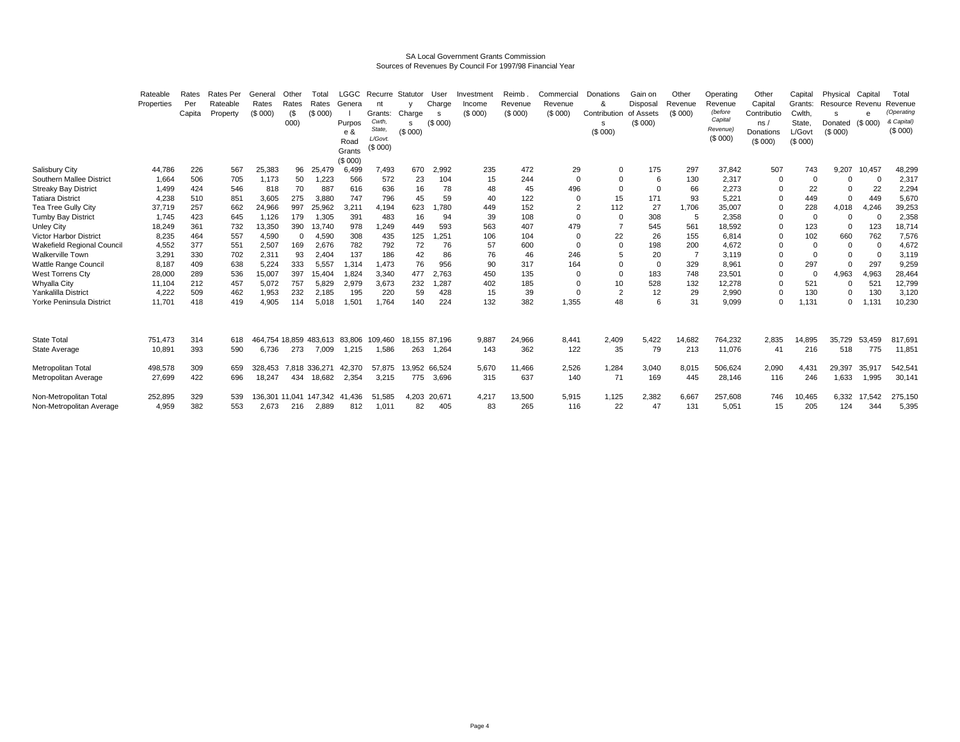#### SA Local Government Grants CommissionSources of Revenues By Council For 1997/98 Financial Year

|                             | Rateable<br>Properties | Rates<br>Per<br>Capita | Rates Per<br>Rateable<br>Property | General<br>Rates<br>(\$000) | Other<br>Rates<br>(\$<br>000) | Total<br>Rates<br>(S 000)     | <b>LGGC</b><br>Genera<br>Purpos<br>$e \&$<br>Road<br>Grants<br>(\$000) | nt<br>Grants:<br>Cwth,<br>State,<br>L/Govt.<br>(\$000) | Recurre Statutor<br>Charge<br>s.<br>(S 000) | User<br>Charge<br>s<br>(\$000) | Investment<br>Income<br>(S 000) | Reimb<br>Revenue<br>(\$000) | Commercial<br>Revenue<br>(S 000) | Donations<br>&<br>Contribution<br>s<br>(\$000) | Gain on<br>Disposal<br>of Assets<br>(\$000) | Other<br>Revenue<br>(\$000) | Operating<br>Revenue<br>(before<br>Capital<br><b>Revenue</b><br>(S 000) | Other<br>Capital<br>Contributio<br>ns/<br>Donations<br>(\$000) | Capital<br>Grants:<br>Cwlth<br>State.<br>L/Govt<br>(\$000) | Physical Capital<br>Resource Revenu<br>Donated<br>(\$000) | e<br>\$000 | Total<br>Revenue<br>(Operating<br>& Capital)<br>(S 000) |
|-----------------------------|------------------------|------------------------|-----------------------------------|-----------------------------|-------------------------------|-------------------------------|------------------------------------------------------------------------|--------------------------------------------------------|---------------------------------------------|--------------------------------|---------------------------------|-----------------------------|----------------------------------|------------------------------------------------|---------------------------------------------|-----------------------------|-------------------------------------------------------------------------|----------------------------------------------------------------|------------------------------------------------------------|-----------------------------------------------------------|------------|---------------------------------------------------------|
| Salisbury City              | 44.786                 | 226                    | 567                               | 25,383                      | 96                            | 25,479                        | 6,499                                                                  | 7,493                                                  | 670                                         | 2,992                          | 235                             | 472                         | 29                               |                                                | 175                                         | 297                         | 37,842                                                                  | 507                                                            | 743                                                        | 9,207                                                     | 10,457     | 48,299                                                  |
| Southern Mallee District    | 1,664                  | 506                    | 705                               | 1,173                       | 50                            | 1,223                         | 566                                                                    | 572                                                    | 23                                          | 104                            | 15                              | 244                         | $\Omega$                         |                                                |                                             | 130                         | 2,317                                                                   |                                                                |                                                            | $\Omega$                                                  | 0          | 2,317                                                   |
| <b>Streaky Bay District</b> | 1,499                  | 424                    | 546                               | 818                         | 70                            | 887                           | 616                                                                    | 636                                                    | 16                                          | 78                             | 48                              | 45                          | 496                              |                                                | $\Omega$                                    | 66                          | 2,273                                                                   |                                                                | 22                                                         | $\Omega$                                                  | 22         | 2,294                                                   |
| <b>Tatiara District</b>     | 4,238                  | 510                    | 851                               | 3,605                       | 275                           | 3,880                         | 747                                                                    | 796                                                    | 45                                          | 59                             | 40                              | 122                         | $\Omega$                         | 15                                             | 171                                         | 93                          | 5,221                                                                   | $\Omega$                                                       | 449                                                        | $\Omega$                                                  | 449        | 5,670                                                   |
| Tea Tree Gully City         | 37.719                 | 257                    | 662                               | 24,966                      | 997                           | 25,962                        | 3.211                                                                  | 4.194                                                  | 623                                         | 1.780                          | 449                             | 152                         |                                  | 112                                            | 27                                          | 1,706                       | 35.007                                                                  | $\Omega$                                                       | 228                                                        | 4,018                                                     | 4,246      | 39,253                                                  |
| <b>Tumby Bay District</b>   | 1.745                  | 423                    | 645                               | 1,126                       | 179                           | 1,305                         | 391                                                                    | 483                                                    | 16                                          | 94                             | 39                              | 108                         | $\Omega$                         |                                                | 308                                         | 5                           | 2,358                                                                   |                                                                |                                                            | $\Omega$                                                  | $\Omega$   | 2,358                                                   |
| <b>Unley City</b>           | 18,249                 | 361                    | 732                               | 13,350                      | 390                           | 13,740                        | 978                                                                    | 1,249                                                  | 449                                         | 593                            | 563                             | 407                         | 479                              |                                                | 545                                         | 561                         | 18,592                                                                  |                                                                | 123                                                        | $\Omega$                                                  | 123        | 18,714                                                  |
| Victor Harbor District      | 8,235                  | 464                    | 557                               | 4,590                       | $\Omega$                      | 4,590                         | 308                                                                    | 435                                                    | 125                                         | 1,251                          | 106                             | 104                         | $\Omega$                         | 22                                             | 26                                          | 155                         | 6,814                                                                   |                                                                | 102                                                        | 660                                                       | 762        | 7,576                                                   |
| Wakefield Regional Council  | 4,552                  | 377                    | 551                               | 2,507                       | 169                           | 2,676                         | 782                                                                    | 792                                                    | 72                                          | 76                             | 57                              | 600                         | $\Omega$                         |                                                | 198                                         | 200                         | 4,672                                                                   |                                                                |                                                            | $\Omega$                                                  | 0          | 4,672                                                   |
| Walkerville Town            | 3,291                  | 330                    | 702                               | 2,311                       | 93                            | 2,404                         | 137                                                                    | 186                                                    | 42                                          | 86                             | 76                              | 46                          | 246                              |                                                | 20                                          |                             | 3,119                                                                   | $\Omega$                                                       | $\Omega$                                                   | $\Omega$                                                  |            | 3,119                                                   |
| Wattle Range Council        | 8,187                  | 409                    | 638                               | 5,224                       | 333                           | 5,557                         | 1.314                                                                  | 1.473                                                  | 76                                          | 956                            | 90                              | 317                         | 164                              |                                                | $\Omega$                                    | 329                         | 8,961                                                                   |                                                                | 297                                                        | $\Omega$                                                  | 297        | 9,259                                                   |
| West Torrens Cty            | 28,000                 | 289                    | 536                               | 15,007                      | 397                           | 15,404                        | 1,824                                                                  | 3,340                                                  | 477                                         | 2,763                          | 450                             | 135                         | $\Omega$                         |                                                | 183                                         | 748                         | 23,501                                                                  | $\Omega$                                                       | $\Omega$                                                   | 4,963                                                     | 4,963      | 28,464                                                  |
| Whyalla City                | 11,104                 | 212                    | 457                               | 5,072                       | 757                           | 5,829                         | 2.979                                                                  | 3,673                                                  | 232                                         | 1.287                          | 402                             | 185                         | $\Omega$                         | 10                                             | 528                                         | 132                         | 12,278                                                                  | $\Omega$                                                       | 521                                                        | $\Omega$                                                  | 521        | 12,799                                                  |
| Yankalilla District         | 4,222                  | 509                    | 462                               | 1,953                       | 232                           | 2,185                         | 195                                                                    | 220                                                    | 59                                          | 428                            | 15                              | 39                          | $\Omega$                         | $\overline{2}$                                 | 12                                          | 29                          | 2,990                                                                   | $\Omega$                                                       | 130                                                        | $\Omega$                                                  | 130        | 3,120                                                   |
| Yorke Peninsula District    | 11,701                 | 418                    | 419                               | 4,905                       | 114                           | 5,018                         | 1,501                                                                  | 1.764                                                  | 140                                         | 224                            | 132                             | 382                         | 1,355                            | 48                                             |                                             | 31                          | 9.099                                                                   | $\Omega$                                                       | 1,131                                                      | $\mathbf{0}$                                              | 1,131      | 10,230                                                  |
| <b>State Total</b>          | 751,473                | 314                    | 618                               |                             |                               | 464.754 18.859 483.613 83.806 |                                                                        | 109.460                                                |                                             | 18.155 87.196                  | 9,887                           | 24,966                      | 8,441                            | 2,409                                          | 5,422                                       | 14,682                      | 764,232                                                                 | 2,835                                                          | 14,895                                                     | 35,729                                                    | 53.459     | 817,691                                                 |
| State Average               | 10,891                 | 393                    | 590                               | 6.736                       | 273                           | 7,009                         | 1,215                                                                  | 1,586                                                  | 263                                         | 1,264                          | 143                             | 362                         | 122                              | 35                                             | 79                                          | 213                         | 11,076                                                                  | 41                                                             | 216                                                        | 518                                                       | 775        | 11,85'                                                  |
| Metropolitan Total          | 498,578                | 309                    | 659                               | 328,453                     |                               | 7.818 336.271                 | 42.370                                                                 | 57.875                                                 | 13,952                                      | 66,524                         | 5,670                           | 11,466                      | 2,526                            | 1,284                                          | 3,040                                       | 8,015                       | 506,624                                                                 | 2,090                                                          | 4,431                                                      | 29,397                                                    | 35,917     | 542,541                                                 |
| Metropolitan Average        | 27.699                 | 422                    | 696                               | 18,247                      | 434                           | 18.682                        | 2,354                                                                  | 3,215                                                  | 775                                         | 3,696                          | 315                             | 637                         | 140                              | 71                                             | 169                                         | 445                         | 28,146                                                                  | 116                                                            | 246                                                        | 1,633                                                     | 1,995      | 30,141                                                  |
| Non-Metropolitan Total      | 252,895                | 329                    | 539                               |                             |                               | 36.301 11.041 147.342 41.436  |                                                                        | 51.585                                                 |                                             | 4,203 20,671                   | 4,217                           | 13,500                      | 5,915                            | 1,125                                          | 2,382                                       | 6.667                       | 257,608                                                                 | 746                                                            | 10,465                                                     | 6,332                                                     | 17.542     | 275,150                                                 |
| Non-Metropolitan Average    | 4,959                  | 382                    | 553                               | 2,673                       | 216                           | 2,889                         | 812                                                                    | 1,01'                                                  | 82                                          | 405                            | 83                              | 265                         | 116                              | 22                                             | 47                                          | 131                         | 5,051                                                                   | 15                                                             | 205                                                        | 124                                                       | 344        | 5,395                                                   |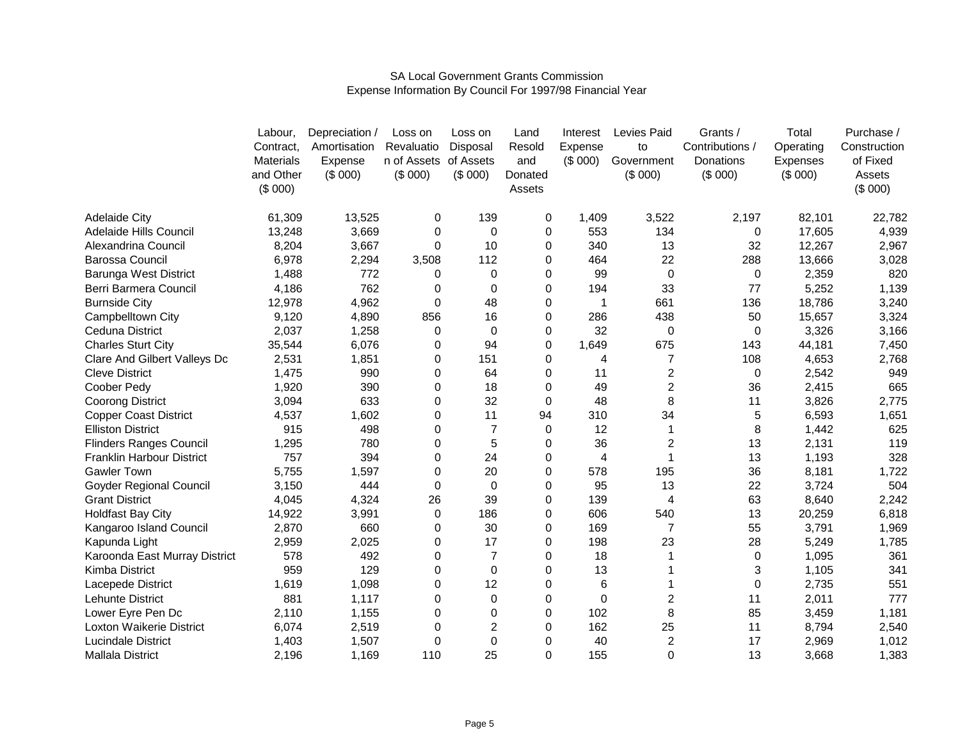# SA Local Government Grants CommissionExpense Information By Council For 1997/98 Financial Year

|                                 | Labour,<br>Contract,<br><b>Materials</b><br>and Other<br>(\$000) | Depreciation /<br>Amortisation<br>Expense<br>(\$000) | Loss on<br>Revaluatio<br>n of Assets of Assets<br>(\$000) | Loss on<br>Disposal<br>(\$000) | Land<br>Resold<br>and<br>Donated<br>Assets | Interest<br>Expense<br>(\$000) | Levies Paid<br>to<br>Government<br>(\$000) | Grants /<br>Contributions /<br>Donations<br>(\$000) | Total<br>Operating<br><b>Expenses</b><br>(\$000) | Purchase /<br>Construction<br>of Fixed<br>Assets<br>(\$000) |
|---------------------------------|------------------------------------------------------------------|------------------------------------------------------|-----------------------------------------------------------|--------------------------------|--------------------------------------------|--------------------------------|--------------------------------------------|-----------------------------------------------------|--------------------------------------------------|-------------------------------------------------------------|
| <b>Adelaide City</b>            | 61,309                                                           | 13,525                                               | 0                                                         | 139                            | $\pmb{0}$                                  | 1,409                          | 3,522                                      | 2,197                                               | 82,101                                           | 22,782                                                      |
| Adelaide Hills Council          | 13,248                                                           | 3,669                                                | 0                                                         | 0                              | 0                                          | 553                            | 134                                        | 0                                                   | 17,605                                           | 4,939                                                       |
| Alexandrina Council             | 8,204                                                            | 3,667                                                | 0                                                         | 10                             | $\mathbf 0$                                | 340                            | 13                                         | 32                                                  | 12,267                                           | 2,967                                                       |
| <b>Barossa Council</b>          | 6,978                                                            | 2,294                                                | 3,508                                                     | 112                            | $\mathbf 0$                                | 464                            | 22                                         | 288                                                 | 13,666                                           | 3,028                                                       |
| <b>Barunga West District</b>    | 1,488                                                            | 772                                                  | 0                                                         | $\mathbf 0$                    | 0                                          | 99                             | $\mathbf 0$                                | 0                                                   | 2,359                                            | 820                                                         |
| Berri Barmera Council           | 4,186                                                            | 762                                                  | 0                                                         | $\mathbf 0$                    | 0                                          | 194                            | 33                                         | 77                                                  | 5,252                                            | 1,139                                                       |
| <b>Burnside City</b>            | 12,978                                                           | 4,962                                                | $\mathbf 0$                                               | 48                             | 0                                          | 1                              | 661                                        | 136                                                 | 18,786                                           | 3,240                                                       |
| Campbelltown City               | 9,120                                                            | 4,890                                                | 856                                                       | 16                             | 0                                          | 286                            | 438                                        | 50                                                  | 15,657                                           | 3,324                                                       |
| Ceduna District                 | 2,037                                                            | 1,258                                                | 0                                                         | $\mathbf 0$                    | 0                                          | 32                             | 0                                          | 0                                                   | 3,326                                            | 3,166                                                       |
| <b>Charles Sturt City</b>       | 35,544                                                           | 6,076                                                | 0                                                         | 94                             | 0                                          | 1,649                          | 675                                        | 143                                                 | 44,181                                           | 7,450                                                       |
| Clare And Gilbert Valleys Dc    | 2,531                                                            | 1,851                                                | 0                                                         | 151                            | $\mathbf 0$                                | 4                              | $\overline{7}$                             | 108                                                 | 4,653                                            | 2,768                                                       |
| <b>Cleve District</b>           | 1,475                                                            | 990                                                  | 0                                                         | 64                             | $\mathbf 0$                                | 11                             | $\overline{c}$                             | 0                                                   | 2,542                                            | 949                                                         |
| Coober Pedy                     | 1,920                                                            | 390                                                  | 0                                                         | 18                             | 0                                          | 49                             | $\overline{c}$                             | 36                                                  | 2,415                                            | 665                                                         |
| <b>Coorong District</b>         | 3,094                                                            | 633                                                  | 0                                                         | 32                             | $\mathbf 0$                                | 48                             | 8                                          | 11                                                  | 3,826                                            | 2,775                                                       |
| <b>Copper Coast District</b>    | 4,537                                                            | 1,602                                                | 0                                                         | 11                             | 94                                         | 310                            | 34                                         | 5                                                   | 6,593                                            | 1,651                                                       |
| <b>Elliston District</b>        | 915                                                              | 498                                                  | 0                                                         | $\overline{7}$                 | 0                                          | 12                             | -1                                         | 8                                                   | 1,442                                            | 625                                                         |
| <b>Flinders Ranges Council</b>  | 1,295                                                            | 780                                                  | 0                                                         | 5                              | 0                                          | 36                             | $\overline{2}$                             | 13                                                  | 2,131                                            | 119                                                         |
| Franklin Harbour District       | 757                                                              | 394                                                  | 0                                                         | 24                             | 0                                          | 4                              | 1                                          | 13                                                  | 1,193                                            | 328                                                         |
| <b>Gawler Town</b>              | 5,755                                                            | 1,597                                                | 0                                                         | 20                             | $\mathbf 0$                                | 578                            | 195                                        | 36                                                  | 8,181                                            | 1,722                                                       |
| Goyder Regional Council         | 3,150                                                            | 444                                                  | 0                                                         | $\Omega$                       | $\mathbf 0$                                | 95                             | 13                                         | 22                                                  | 3,724                                            | 504                                                         |
| <b>Grant District</b>           | 4,045                                                            | 4,324                                                | 26                                                        | 39                             | 0                                          | 139                            | $\overline{4}$                             | 63                                                  | 8,640                                            | 2,242                                                       |
| <b>Holdfast Bay City</b>        | 14,922                                                           | 3,991                                                | 0                                                         | 186                            | $\mathbf 0$                                | 606                            | 540                                        | 13                                                  | 20,259                                           | 6,818                                                       |
| Kangaroo Island Council         | 2,870                                                            | 660                                                  | 0                                                         | 30                             | $\mathbf 0$                                | 169                            | $\overline{7}$                             | 55                                                  | 3,791                                            | 1,969                                                       |
| Kapunda Light                   | 2,959                                                            | 2,025                                                | 0                                                         | 17                             | 0                                          | 198                            | 23                                         | 28                                                  | 5,249                                            | 1,785                                                       |
| Karoonda East Murray District   | 578                                                              | 492                                                  | 0                                                         | $\overline{7}$                 | $\mathbf 0$                                | 18                             | 1                                          | 0                                                   | 1,095                                            | 361                                                         |
| Kimba District                  | 959                                                              | 129                                                  | 0                                                         | $\mathbf 0$                    | 0                                          | 13                             |                                            | 3                                                   | 1,105                                            | 341                                                         |
| Lacepede District               | 1,619                                                            | 1,098                                                | 0                                                         | 12                             | $\mathbf 0$                                | 6                              |                                            | 0                                                   | 2,735                                            | 551                                                         |
| <b>Lehunte District</b>         | 881                                                              | 1,117                                                | 0                                                         | $\mathbf 0$                    | $\boldsymbol{0}$                           | 0                              | $\overline{c}$                             | 11                                                  | 2,011                                            | 777                                                         |
| Lower Eyre Pen Dc               | 2,110                                                            | 1,155                                                | 0                                                         | 0                              | 0                                          | 102                            | 8                                          | 85                                                  | 3,459                                            | 1,181                                                       |
| <b>Loxton Waikerie District</b> | 6,074                                                            | 2,519                                                | 0                                                         | $\overline{2}$                 | 0                                          | 162                            | 25                                         | 11                                                  | 8,794                                            | 2,540                                                       |
| <b>Lucindale District</b>       | 1,403                                                            | 1,507                                                | $\mathbf 0$                                               | $\mathbf 0$                    | 0                                          | 40                             | $\overline{c}$                             | 17                                                  | 2,969                                            | 1,012                                                       |
| <b>Mallala District</b>         | 2,196                                                            | 1,169                                                | 110                                                       | 25                             | $\mathbf 0$                                | 155                            | $\Omega$                                   | 13                                                  | 3,668                                            | 1,383                                                       |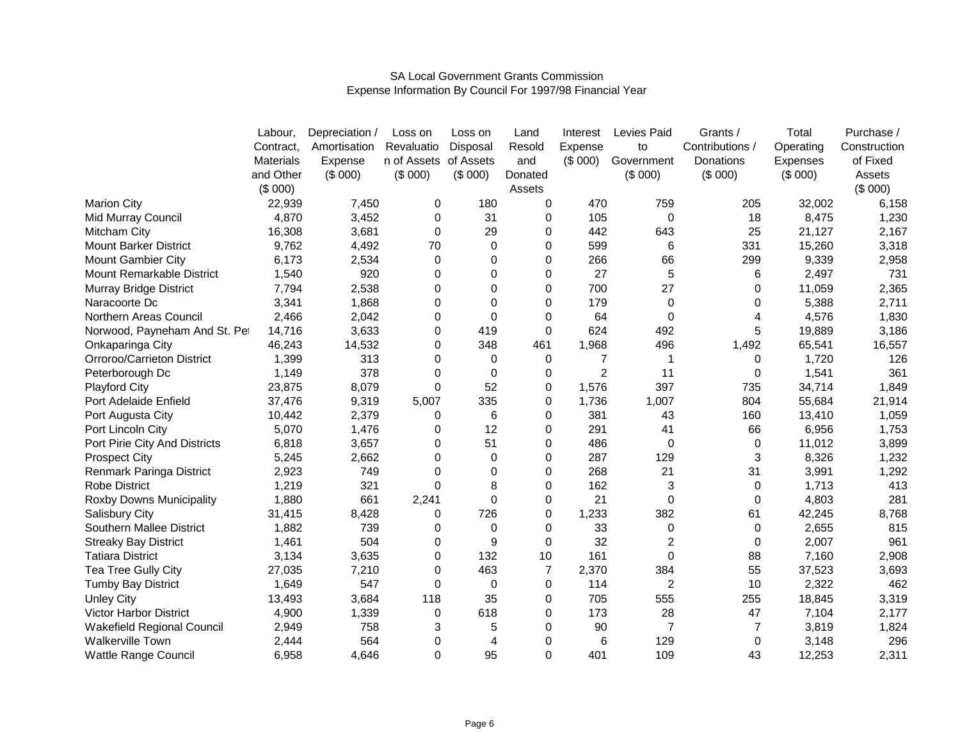# SA Local Government Grants CommissionExpense Information By Council For 1997/98 Financial Year

|                                   | Labour,          | Depreciation / | Loss on               | Loss on     | Land           | Interest       | Levies Paid    | Grants /        | Total     | Purchase /   |
|-----------------------------------|------------------|----------------|-----------------------|-------------|----------------|----------------|----------------|-----------------|-----------|--------------|
|                                   | Contract,        | Amortisation   | Revaluatio            | Disposal    | Resold         | Expense        | to             | Contributions / | Operating | Construction |
|                                   | <b>Materials</b> | Expense        | n of Assets of Assets |             | and            | (\$000)        | Government     | Donations       | Expenses  | of Fixed     |
|                                   | and Other        | (\$000)        | (\$000)               | (\$000)     | Donated        |                | (\$000)        | (\$000)         | (\$000)   | Assets       |
|                                   | (\$000)          |                |                       |             | Assets         |                |                |                 |           | (\$000)      |
| <b>Marion City</b>                | 22,939           | 7,450          | 0                     | 180         | 0              | 470            | 759            | 205             | 32,002    | 6,158        |
| Mid Murray Council                | 4,870            | 3,452          | 0                     | 31          | 0              | 105            | 0              | 18              | 8,475     | 1,230        |
| Mitcham City                      | 16,308           | 3,681          | $\mathbf 0$           | 29          | $\mathbf 0$    | 442            | 643            | 25              | 21,127    | 2,167        |
| <b>Mount Barker District</b>      | 9,762            | 4,492          | 70                    | 0           | 0              | 599            | 6              | 331             | 15,260    | 3,318        |
| <b>Mount Gambier City</b>         | 6,173            | 2,534          | 0                     | 0           | 0              | 266            | 66             | 299             | 9,339     | 2,958        |
| Mount Remarkable District         | 1,540            | 920            | $\mathbf 0$           | $\Omega$    | $\mathbf 0$    | 27             | 5              | 6               | 2,497     | 731          |
| Murray Bridge District            | 7,794            | 2,538          | $\mathbf 0$           | $\Omega$    | $\Omega$       | 700            | 27             | 0               | 11,059    | 2,365        |
| Naracoorte Dc                     | 3,341            | 1,868          | $\mathbf 0$           | $\Omega$    | $\mathbf 0$    | 179            | $\mathbf 0$    | 0               | 5,388     | 2,711        |
| Northern Areas Council            | 2,466            | 2,042          | $\mathbf 0$           | $\Omega$    | $\mathbf 0$    | 64             | 0              | 4               | 4,576     | 1,830        |
| Norwood, Payneham And St. Pet     | 14,716           | 3,633          | $\Omega$              | 419         | $\mathbf 0$    | 624            | 492            | 5               | 19,889    | 3,186        |
| Onkaparinga City                  | 46,243           | 14,532         | $\Omega$              | 348         | 461            | 1,968          | 496            | 1,492           | 65,541    | 16,557       |
| Orroroo/Carrieton District        | 1,399            | 313            | $\Omega$              | 0           | 0              | 7              | 1              | 0               | 1,720     | 126          |
| Peterborough Dc                   | 1,149            | 378            | $\Omega$              | $\mathbf 0$ | 0              | $\overline{2}$ | 11             | 0               | 1,541     | 361          |
| <b>Playford City</b>              | 23,875           | 8,079          | $\Omega$              | 52          | 0              | 1,576          | 397            | 735             | 34,714    | 1,849        |
| Port Adelaide Enfield             | 37,476           | 9,319          | 5,007                 | 335         | $\mathbf 0$    | 1,736          | 1,007          | 804             | 55,684    | 21,914       |
| Port Augusta City                 | 10,442           | 2,379          | 0                     | 6           | 0              | 381            | 43             | 160             | 13,410    | 1,059        |
| Port Lincoln City                 | 5,070            | 1,476          | 0                     | 12          | $\Omega$       | 291            | 41             | 66              | 6,956     | 1,753        |
| Port Pirie City And Districts     | 6,818            | 3,657          | $\Omega$              | 51          | $\Omega$       | 486            | 0              | $\mathbf 0$     | 11,012    | 3,899        |
| <b>Prospect City</b>              | 5,245            | 2,662          | $\Omega$              | $\Omega$    | $\Omega$       | 287            | 129            | 3               | 8,326     | 1,232        |
| Renmark Paringa District          | 2,923            | 749            | $\Omega$              | 0           | $\Omega$       | 268            | 21             | 31              | 3,991     | 1,292        |
| <b>Robe District</b>              | 1,219            | 321            | $\Omega$              | 8           | $\mathbf 0$    | 162            | 3              | 0               | 1,713     | 413          |
| Roxby Downs Municipality          | 1,880            | 661            | 2,241                 | $\Omega$    | $\mathbf 0$    | 21             | $\Omega$       | $\Omega$        | 4,803     | 281          |
| Salisbury City                    | 31,415           | 8,428          | 0                     | 726         | $\mathbf 0$    | 1,233          | 382            | 61              | 42,245    | 8,768        |
| Southern Mallee District          | 1,882            | 739            | 0                     | $\Omega$    | $\Omega$       | 33             | 0              | $\Omega$        | 2,655     | 815          |
| <b>Streaky Bay District</b>       | 1,461            | 504            | 0                     | 9           | $\mathbf 0$    | 32             | $\overline{2}$ | 0               | 2,007     | 961          |
| <b>Tatiara District</b>           | 3,134            | 3,635          | 0                     | 132         | 10             | 161            | $\mathbf 0$    | 88              | 7,160     | 2,908        |
| Tea Tree Gully City               | 27,035           | 7,210          | $\mathbf 0$           | 463         | $\overline{7}$ | 2,370          | 384            | 55              | 37,523    | 3,693        |
| <b>Tumby Bay District</b>         | 1,649            | 547            | 0                     | 0           | 0              | 114            | 2              | 10              | 2,322     | 462          |
| <b>Unley City</b>                 | 13,493           | 3,684          | 118                   | 35          | 0              | 705            | 555            | 255             | 18,845    | 3,319        |
| Victor Harbor District            | 4,900            | 1,339          | 0                     | 618         | 0              | 173            | 28             | 47              | 7,104     | 2,177        |
| <b>Wakefield Regional Council</b> | 2,949            | 758            | 3                     | 5           | 0              | 90             | $\overline{7}$ | 7               | 3,819     | 1,824        |
| <b>Walkerville Town</b>           | 2,444            | 564            | $\mathbf 0$           | 4           | 0              | 6              | 129            | 0               | 3,148     | 296          |
| <b>Wattle Range Council</b>       | 6,958            | 4,646          | $\Omega$              | 95          | $\Omega$       | 401            | 109            | 43              | 12,253    | 2,311        |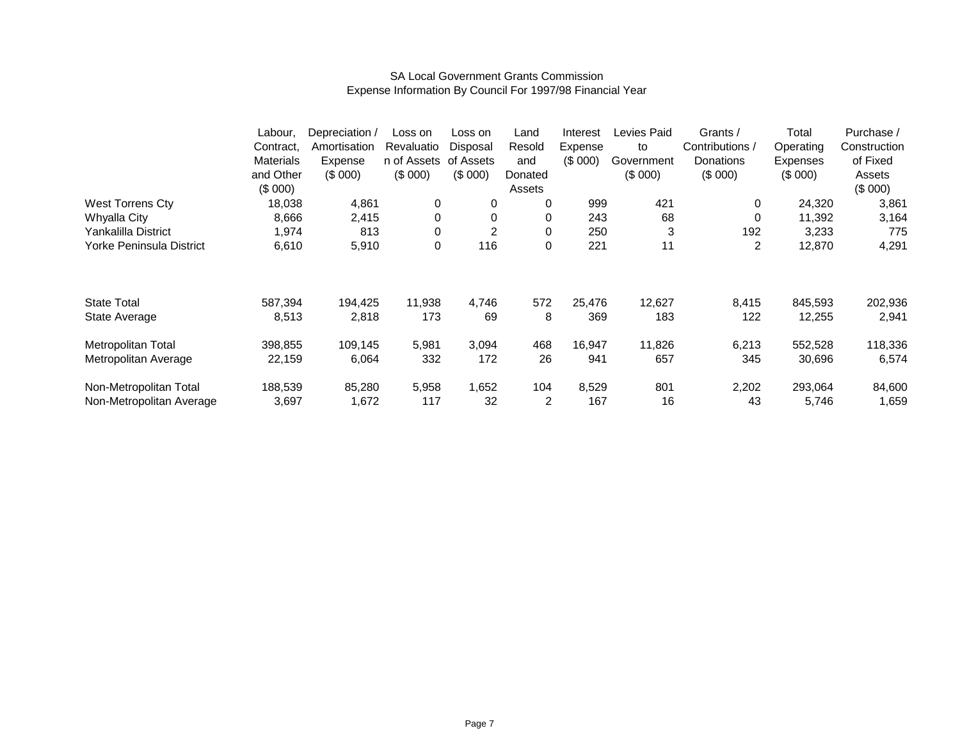# SA Local Government Grants CommissionExpense Information By Council For 1997/98 Financial Year

|                                            | Labour,<br>Contract,<br><b>Materials</b> | Depreciation /<br>Amortisation | Loss on<br>Revaluatio<br>n of Assets | Loss on<br>Disposal<br>of Assets | Land<br>Resold | Interest<br>Expense | Levies Paid<br>to     | Grants /<br>Contributions /<br><b>Donations</b> | Total<br>Operating  | Purchase /<br>Construction |
|--------------------------------------------|------------------------------------------|--------------------------------|--------------------------------------|----------------------------------|----------------|---------------------|-----------------------|-------------------------------------------------|---------------------|----------------------------|
|                                            | and Other                                | Expense<br>(\$000)             | (\$000)                              | (\$000)                          | and<br>Donated | (\$000)             | Government<br>(\$000) | (\$000)                                         | Expenses<br>(\$000) | of Fixed<br>Assets         |
| West Torrens Cty                           | (\$000)<br>18,038                        | 4,861                          | 0                                    | 0                                | Assets<br>0    | 999                 | 421                   | 0                                               | 24,320              | (\$000)<br>3,861           |
| <b>Whyalla City</b><br>Yankalilla District | 8,666<br>1,974                           | 2,415<br>813                   | 0<br>0                               | $\mathbf 0$<br>$\overline{2}$    | 0<br>0         | 243<br>250          | 68<br>3               | 0<br>192                                        | 11,392<br>3,233     | 3,164<br>775               |
| Yorke Peninsula District                   | 6,610                                    | 5,910                          | 0                                    | 116                              | 0              | 221                 | 11                    | $\overline{2}$                                  | 12,870              | 4,291                      |
| <b>State Total</b>                         | 587,394                                  | 194,425                        | 11,938                               | 4,746                            | 572            | 25,476              | 12,627                | 8,415                                           | 845,593             | 202,936                    |
| State Average                              | 8,513                                    | 2,818                          | 173                                  | 69                               | 8              | 369                 | 183                   | 122                                             | 12,255              | 2,941                      |
| <b>Metropolitan Total</b>                  | 398,855                                  | 109,145                        | 5,981                                | 3,094                            | 468            | 16,947              | 11,826                | 6,213                                           | 552,528             | 118,336                    |
| Metropolitan Average                       | 22,159                                   | 6,064                          | 332                                  | 172                              | 26             | 941                 | 657                   | 345                                             | 30,696              | 6,574                      |
| Non-Metropolitan Total                     | 188,539                                  | 85,280                         | 5,958                                | 1,652                            | 104            | 8,529               | 801                   | 2,202                                           | 293,064             | 84,600                     |
| Non-Metropolitan Average                   | 3,697                                    | 1,672                          | 117                                  | 32                               | 2              | 167                 | 16                    | 43                                              | 5,746               | 1,659                      |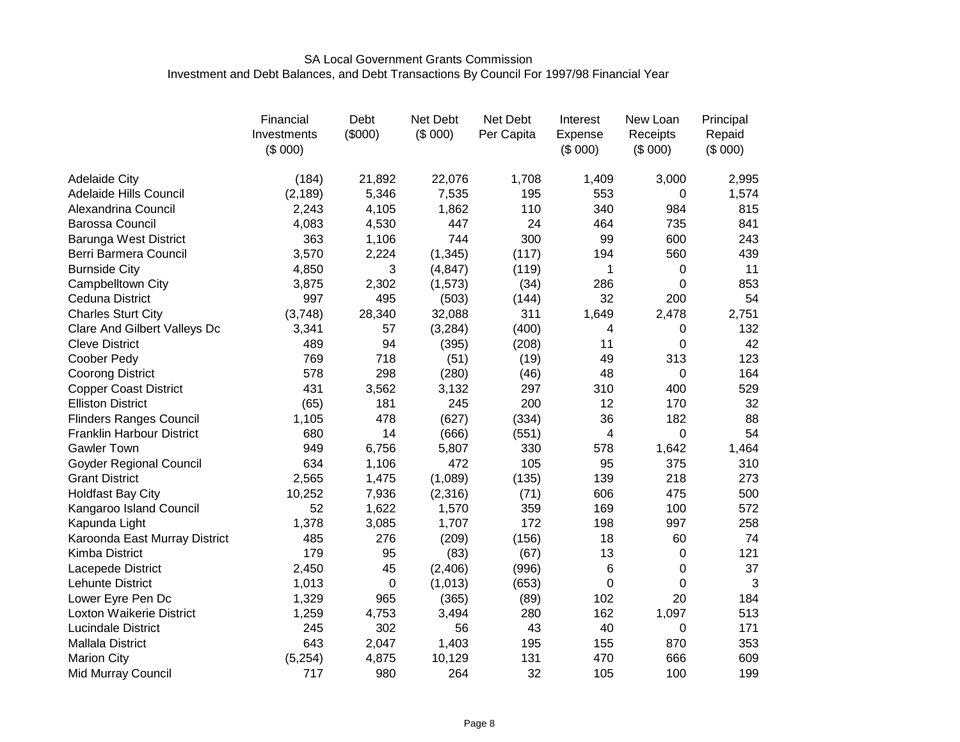# SA Local Government Grants CommissionInvestment and Debt Balances, and Debt Transactions By Council For 1997/98 Financial Year

|                                  | Financial   | Debt             | Net Debt | Net Debt   | Interest | New Loan    | Principal |
|----------------------------------|-------------|------------------|----------|------------|----------|-------------|-----------|
|                                  | Investments | (\$000)          | (\$000)  | Per Capita | Expense  | Receipts    | Repaid    |
|                                  | (\$000)     |                  |          |            | (\$000)  | (\$000)     | (\$000)   |
| <b>Adelaide City</b>             | (184)       | 21,892           | 22,076   | 1,708      | 1,409    | 3,000       | 2,995     |
| Adelaide Hills Council           | (2, 189)    | 5,346            | 7,535    | 195        | 553      | 0           | 1,574     |
| Alexandrina Council              | 2,243       | 4,105            | 1,862    | 110        | 340      | 984         | 815       |
| <b>Barossa Council</b>           | 4,083       | 4,530            | 447      | 24         | 464      | 735         | 841       |
| Barunga West District            | 363         | 1,106            | 744      | 300        | 99       | 600         | 243       |
| Berri Barmera Council            | 3,570       | 2,224            | (1, 345) | (117)      | 194      | 560         | 439       |
| <b>Burnside City</b>             | 4,850       | 3                | (4, 847) | (119)      | 1        | 0           | 11        |
| Campbelltown City                | 3,875       | 2,302            | (1, 573) | (34)       | 286      | 0           | 853       |
| Ceduna District                  | 997         | 495              | (503)    | (144)      | 32       | 200         | 54        |
| <b>Charles Sturt City</b>        | (3,748)     | 28,340           | 32,088   | 311        | 1,649    | 2,478       | 2,751     |
| Clare And Gilbert Valleys Dc     | 3,341       | 57               | (3,284)  | (400)      | 4        | 0           | 132       |
| <b>Cleve District</b>            | 489         | 94               | (395)    | (208)      | 11       | 0           | 42        |
| Coober Pedy                      | 769         | 718              | (51)     | (19)       | 49       | 313         | 123       |
| <b>Coorong District</b>          | 578         | 298              | (280)    | (46)       | 48       | 0           | 164       |
| <b>Copper Coast District</b>     | 431         | 3,562            | 3,132    | 297        | 310      | 400         | 529       |
| <b>Elliston District</b>         | (65)        | 181              | 245      | 200        | 12       | 170         | 32        |
| <b>Flinders Ranges Council</b>   | 1,105       | 478              | (627)    | (334)      | 36       | 182         | 88        |
| <b>Franklin Harbour District</b> | 680         | 14               | (666)    | (551)      | 4        | $\mathbf 0$ | 54        |
| <b>Gawler Town</b>               | 949         | 6,756            | 5,807    | 330        | 578      | 1,642       | 1,464     |
| Goyder Regional Council          | 634         | 1,106            | 472      | 105        | 95       | 375         | 310       |
| <b>Grant District</b>            | 2,565       | 1,475            | (1,089)  | (135)      | 139      | 218         | 273       |
| <b>Holdfast Bay City</b>         | 10,252      | 7,936            | (2,316)  | (71)       | 606      | 475         | 500       |
| Kangaroo Island Council          | 52          | 1,622            | 1,570    | 359        | 169      | 100         | 572       |
| Kapunda Light                    | 1,378       | 3,085            | 1,707    | 172        | 198      | 997         | 258       |
| Karoonda East Murray District    | 485         | 276              | (209)    | (156)      | 18       | 60          | 74        |
| Kimba District                   | 179         | 95               | (83)     | (67)       | 13       | 0           | 121       |
| Lacepede District                | 2,450       | 45               | (2,406)  | (996)      | 6        | 0           | 37        |
| <b>Lehunte District</b>          | 1,013       | $\boldsymbol{0}$ | (1,013)  | (653)      | 0        | 0           | 3         |
| Lower Eyre Pen Dc                | 1,329       | 965              | (365)    | (89)       | 102      | 20          | 184       |
| <b>Loxton Waikerie District</b>  | 1,259       | 4,753            | 3,494    | 280        | 162      | 1,097       | 513       |
| <b>Lucindale District</b>        | 245         | 302              | 56       | 43         | 40       | 0           | 171       |
| <b>Mallala District</b>          | 643         | 2,047            | 1,403    | 195        | 155      | 870         | 353       |
| <b>Marion City</b>               | (5,254)     | 4,875            | 10,129   | 131        | 470      | 666         | 609       |
| Mid Murray Council               | 717         | 980              | 264      | 32         | 105      | 100         | 199       |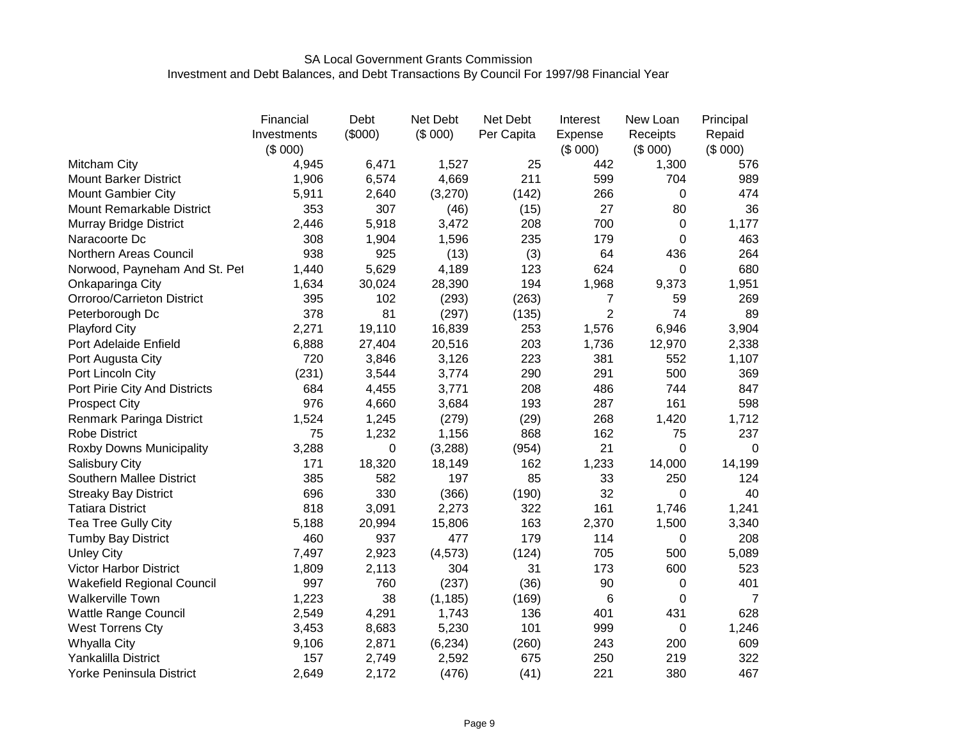# SA Local Government Grants CommissionInvestment and Debt Balances, and Debt Transactions By Council For 1997/98 Financial Year

|                                 | Financial   | Debt    | Net Debt | Net Debt   | Interest       | New Loan | Principal    |
|---------------------------------|-------------|---------|----------|------------|----------------|----------|--------------|
|                                 | Investments | (\$000) | (\$000)  | Per Capita | Expense        | Receipts | Repaid       |
|                                 | (\$000)     |         |          |            | (\$000)        | (\$000)  | (\$000)      |
| <b>Mitcham City</b>             | 4,945       | 6,471   | 1,527    | 25         | 442            | 1,300    | 576          |
| <b>Mount Barker District</b>    | 1,906       | 6,574   | 4,669    | 211        | 599            | 704      | 989          |
| <b>Mount Gambier City</b>       | 5,911       | 2,640   | (3,270)  | (142)      | 266            | 0        | 474          |
| Mount Remarkable District       | 353         | 307     | (46)     | (15)       | 27             | 80       | 36           |
| <b>Murray Bridge District</b>   | 2,446       | 5,918   | 3,472    | 208        | 700            | 0        | 1,177        |
| Naracoorte Dc                   | 308         | 1,904   | 1,596    | 235        | 179            | 0        | 463          |
| Northern Areas Council          | 938         | 925     | (13)     | (3)        | 64             | 436      | 264          |
| Norwood, Payneham And St. Pet   | 1,440       | 5,629   | 4,189    | 123        | 624            | 0        | 680          |
| Onkaparinga City                | 1,634       | 30,024  | 28,390   | 194        | 1,968          | 9,373    | 1,951        |
| Orroroo/Carrieton District      | 395         | 102     | (293)    | (263)      | $\overline{7}$ | 59       | 269          |
| Peterborough Dc                 | 378         | 81      | (297)    | (135)      | $\overline{2}$ | 74       | 89           |
| <b>Playford City</b>            | 2,271       | 19,110  | 16,839   | 253        | 1,576          | 6,946    | 3,904        |
| Port Adelaide Enfield           | 6,888       | 27,404  | 20,516   | 203        | 1,736          | 12,970   | 2,338        |
| Port Augusta City               | 720         | 3,846   | 3,126    | 223        | 381            | 552      | 1,107        |
| Port Lincoln City               | (231)       | 3,544   | 3,774    | 290        | 291            | 500      | 369          |
| Port Pirie City And Districts   | 684         | 4,455   | 3,771    | 208        | 486            | 744      | 847          |
| <b>Prospect City</b>            | 976         | 4,660   | 3,684    | 193        | 287            | 161      | 598          |
| Renmark Paringa District        | 1,524       | 1,245   | (279)    | (29)       | 268            | 1,420    | 1,712        |
| <b>Robe District</b>            | 75          | 1,232   | 1,156    | 868        | 162            | 75       | 237          |
| <b>Roxby Downs Municipality</b> | 3,288       | 0       | (3,288)  | (954)      | 21             | $\Omega$ | $\mathbf{0}$ |
| <b>Salisbury City</b>           | 171         | 18,320  | 18,149   | 162        | 1,233          | 14,000   | 14,199       |
| <b>Southern Mallee District</b> | 385         | 582     | 197      | 85         | 33             | 250      | 124          |
| <b>Streaky Bay District</b>     | 696         | 330     | (366)    | (190)      | 32             | 0        | 40           |
| <b>Tatiara District</b>         | 818         | 3,091   | 2,273    | 322        | 161            | 1,746    | 1,241        |
| Tea Tree Gully City             | 5,188       | 20,994  | 15,806   | 163        | 2,370          | 1,500    | 3,340        |
| <b>Tumby Bay District</b>       | 460         | 937     | 477      | 179        | 114            | 0        | 208          |
| <b>Unley City</b>               | 7,497       | 2,923   | (4, 573) | (124)      | 705            | 500      | 5,089        |
| <b>Victor Harbor District</b>   | 1,809       | 2,113   | 304      | 31         | 173            | 600      | 523          |
| Wakefield Regional Council      | 997         | 760     | (237)    | (36)       | 90             | 0        | 401          |
| <b>Walkerville Town</b>         | 1,223       | 38      | (1, 185) | (169)      | 6              | 0        | 7            |
| <b>Wattle Range Council</b>     | 2,549       | 4,291   | 1,743    | 136        | 401            | 431      | 628          |
| <b>West Torrens Cty</b>         | 3,453       | 8,683   | 5,230    | 101        | 999            | 0        | 1,246        |
| <b>Whyalla City</b>             | 9,106       | 2,871   | (6, 234) | (260)      | 243            | 200      | 609          |
| Yankalilla District             | 157         | 2,749   | 2,592    | 675        | 250            | 219      | 322          |
| Yorke Peninsula District        | 2,649       | 2,172   | (476)    | (41)       | 221            | 380      | 467          |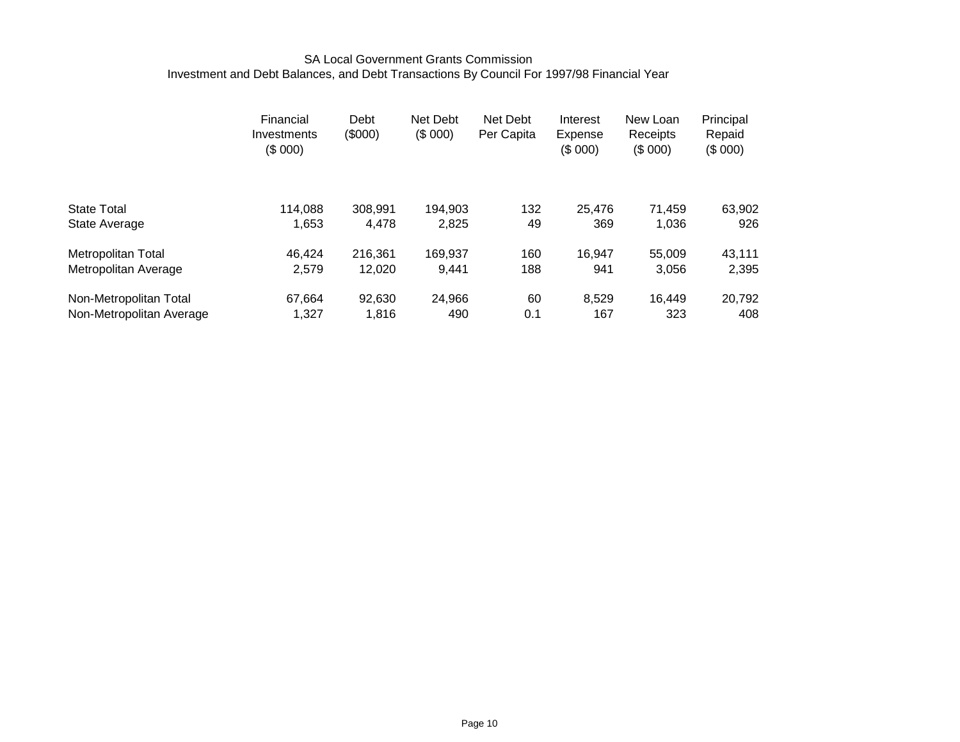# SA Local Government Grants CommissionInvestment and Debt Balances, and Debt Transactions By Council For 1997/98 Financial Year

|                          | Financial<br>Investments<br>(\$000) | Debt<br>(0,00) | Net Debt<br>(\$000) | Net Debt<br>Per Capita | Interest<br>Expense<br>(\$000) | New Loan<br>Receipts<br>(\$000) | Principal<br>Repaid<br>(\$000) |
|--------------------------|-------------------------------------|----------------|---------------------|------------------------|--------------------------------|---------------------------------|--------------------------------|
| <b>State Total</b>       | 114,088                             | 308,991        | 194,903             | 132                    | 25,476                         | 71,459                          | 63,902                         |
| State Average            | 1,653                               | 4,478          | 2,825               | 49                     | 369                            | 1,036                           | 926                            |
| Metropolitan Total       | 46,424                              | 216,361        | 169.937             | 160                    | 16.947                         | 55,009                          | 43.111                         |
| Metropolitan Average     | 2.579                               | 12.020         | 9.441               | 188                    | 941                            | 3,056                           | 2,395                          |
| Non-Metropolitan Total   | 67,664                              | 92,630         | 24,966              | 60                     | 8,529                          | 16,449                          | 20,792                         |
| Non-Metropolitan Average | 1,327                               | 1,816          | 490                 | 0.1                    | 167                            | 323                             | 408                            |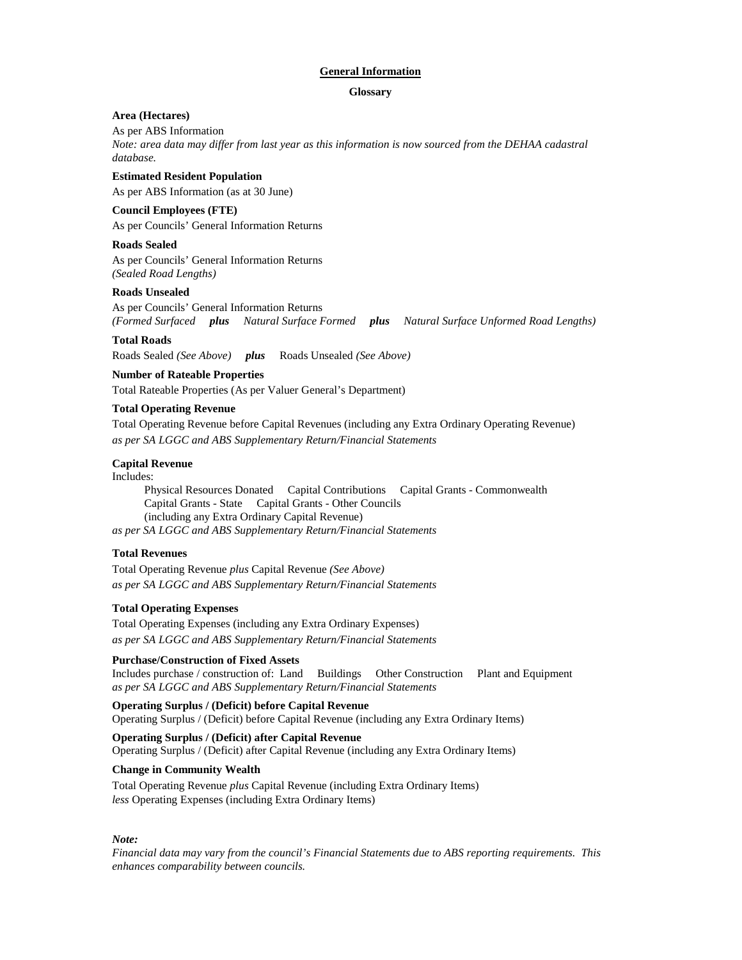## **General Information**

## **Glossary**

## **Area (Hectares)**

As per ABS Information *Note: area data may differ from last year as this information is now sourced from the DEHAA cadastral database.* 

## **Estimated Resident Population**

As per ABS Information (as at 30 June)

## **Council Employees (FTE)**

As per Councils' General Information Returns

## **Roads Sealed**

As per Councils' General Information Returns *(Sealed Road Lengths)* 

## **Roads Unsealed**

As per Councils' General Information Returns *(Formed Surfaced plus Natural Surface Formed plus Natural Surface Unformed Road Lengths)* 

# **Total Roads**

Roads Sealed *(See Above) plus* Roads Unsealed *(See Above)* 

## **Number of Rateable Properties**

Total Rateable Properties (As per Valuer General's Department)

## **Total Operating Revenue**

Total Operating Revenue before Capital Revenues (including any Extra Ordinary Operating Revenue) *as per SA LGGC and ABS Supplementary Return/Financial Statements* 

## **Capital Revenue**

Includes:

Physical Resources Donated Capital Contributions Capital Grants - Commonwealth Capital Grants - State Capital Grants - Other Councils (including any Extra Ordinary Capital Revenue) *as per SA LGGC and ABS Supplementary Return/Financial Statements* 

## **Total Revenues**

Total Operating Revenue *plus* Capital Revenue *(See Above) as per SA LGGC and ABS Supplementary Return/Financial Statements* 

## **Total Operating Expenses**

Total Operating Expenses (including any Extra Ordinary Expenses) *as per SA LGGC and ABS Supplementary Return/Financial Statements* 

### **Purchase/Construction of Fixed Assets**

Includes purchase / construction of: Land Buildings Other Construction Plant and Equipment *as per SA LGGC and ABS Supplementary Return/Financial Statements* 

## **Operating Surplus / (Deficit) before Capital Revenue**  Operating Surplus / (Deficit) before Capital Revenue (including any Extra Ordinary Items)

**Operating Surplus / (Deficit) after Capital Revenue**

Operating Surplus / (Deficit) after Capital Revenue (including any Extra Ordinary Items)

#### **Change in Community Wealth**

Total Operating Revenue *plus* Capital Revenue (including Extra Ordinary Items) *less* Operating Expenses (including Extra Ordinary Items)

#### *Note:*

*Financial data may vary from the council's Financial Statements due to ABS reporting requirements. This enhances comparability between councils.*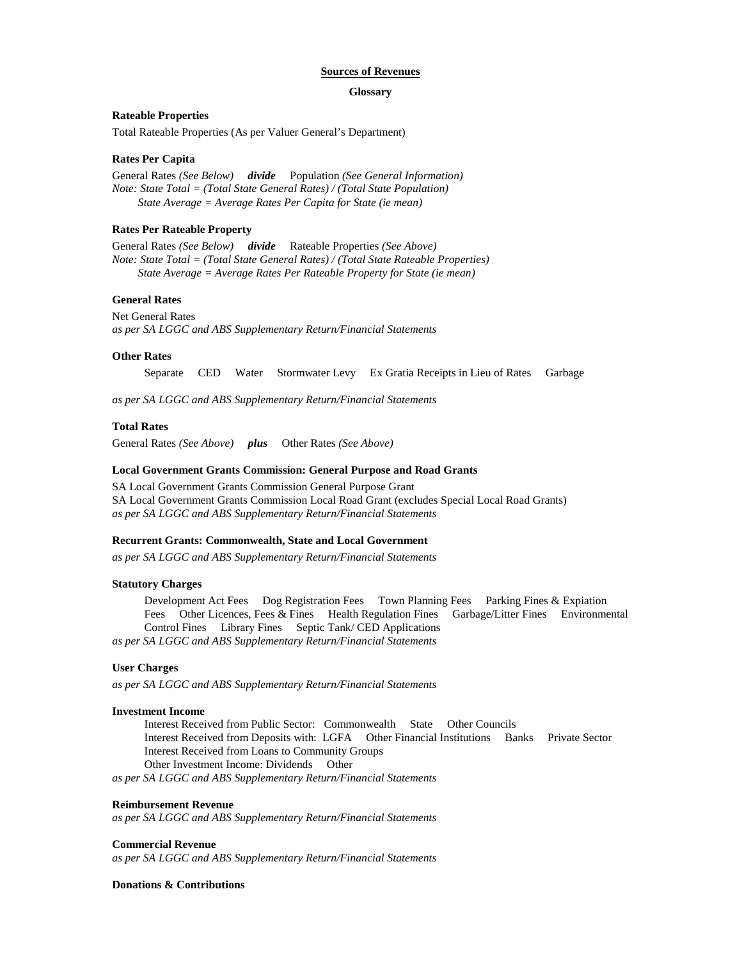## **Sources of Revenues**

## **Glossary**

#### **Rateable Properties**

Total Rateable Properties (As per Valuer General's Department)

#### **Rates Per Capita**

General Rates *(See Below) divide* Population *(See General Information) Note: State Total = (Total State General Rates) / (Total State Population) State Average = Average Rates Per Capita for State (ie mean)* 

## **Rates Per Rateable Property**

General Rates *(See Below) divide* Rateable Properties *(See Above) Note: State Total = (Total State General Rates) / (Total State Rateable Properties) State Average = Average Rates Per Rateable Property for State (ie mean)* 

## **General Rates**

Net General Rates *as per SA LGGC and ABS Supplementary Return/Financial Statements* 

#### **Other Rates**

Separate CED Water Stormwater Levy Ex Gratia Receipts in Lieu of RatesGarbage

*as per SA LGGC and ABS Supplementary Return/Financial Statements* 

## **Total Rates**

General Rates *(See Above) plus* Other Rates *(See Above)* 

#### **Local Government Grants Commission: General Purpose and Road Grants**

SA Local Government Grants Commission General Purpose Grant SA Local Government Grants Commission Local Road Grant (excludes Special Local Road Grants) *as per SA LGGC and ABS Supplementary Return/Financial Statements* 

### **Recurrent Grants: Commonwealth, State and Local Government**

*as per SA LGGC and ABS Supplementary Return/Financial Statements* 

#### **Statutory Charges**

Development Act Fees Dog Registration Fees Town Planning Fees Parking Fines & Expiation Fees Other Licences, Fees & Fines Health Regulation Fines Garbage/Litter Fines Environmental Control Fines Library Fines Septic Tank/ CED Applications *as per SA LGGC and ABS Supplementary Return/Financial Statements* 

#### **User Charges**

*as per SA LGGC and ABS Supplementary Return/Financial Statements* 

## **Investment Income**

Interest Received from Public Sector: Commonwealth State Other Councils Interest Received from Deposits with: LGFA Other Financial Institutions Banks Private Sector Interest Received from Loans to Community Groups Other Investment Income: Dividends Other

*as per SA LGGC and ABS Supplementary Return/Financial Statements* 

## **Reimbursement Revenue**

*as per SA LGGC and ABS Supplementary Return/Financial Statements* 

#### **Commercial Revenue**

*as per SA LGGC and ABS Supplementary Return/Financial Statements* 

#### **Donations & Contributions**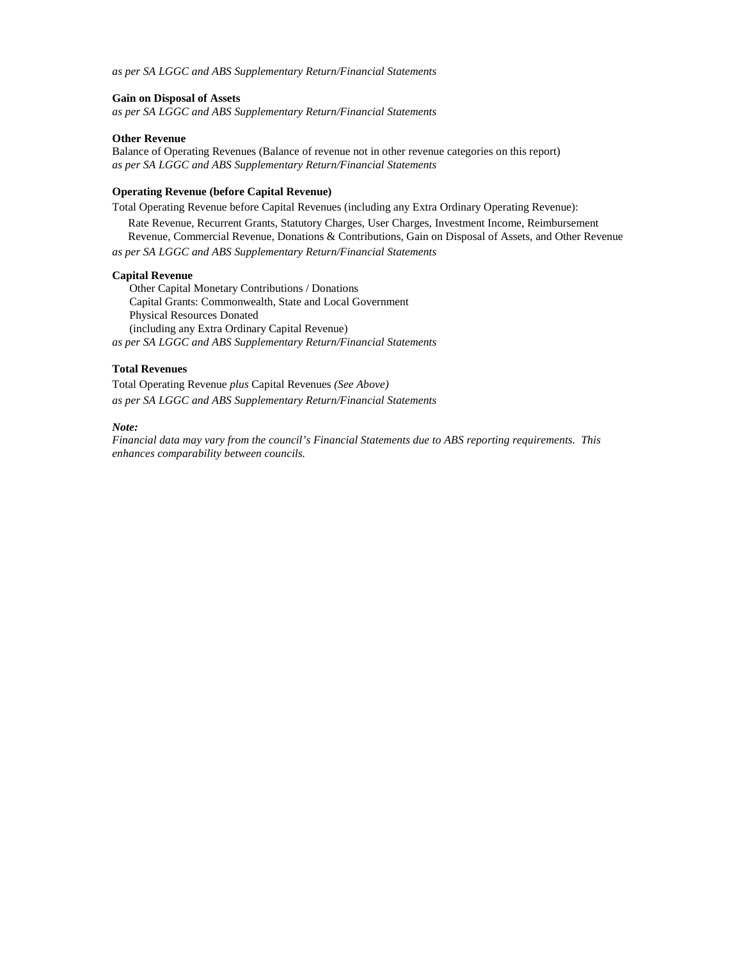## **Gain on Disposal of Assets**

*as per SA LGGC and ABS Supplementary Return/Financial Statements*

## **Other Revenue**

Balance of Operating Revenues (Balance of revenue not in other revenue categories on this report) *as per SA LGGC and ABS Supplementary Return/Financial Statements* 

#### **Operating Revenue (before Capital Revenue)**

Total Operating Revenue before Capital Revenues (including any Extra Ordinary Operating Revenue): Rate Revenue, Recurrent Grants, Statutory Charges, User Charges, Investment Income, Reimbursement Revenue, Commercial Revenue, Donations & Contributions, Gain on Disposal of Assets, and Other Revenue *as per SA LGGC and ABS Supplementary Return/Financial Statements* 

## **Capital Revenue**

 Other Capital Monetary Contributions / Donations Capital Grants: Commonwealth, State and Local Government Physical Resources Donated (including any Extra Ordinary Capital Revenue) *as per SA LGGC and ABS Supplementary Return/Financial Statements* 

## **Total Revenues**

Total Operating Revenue *plus* Capital Revenues *(See Above) as per SA LGGC and ABS Supplementary Return/Financial Statements* 

#### *Note:*

*Financial data may vary from the council's Financial Statements due to ABS reporting requirements. This enhances comparability between councils.*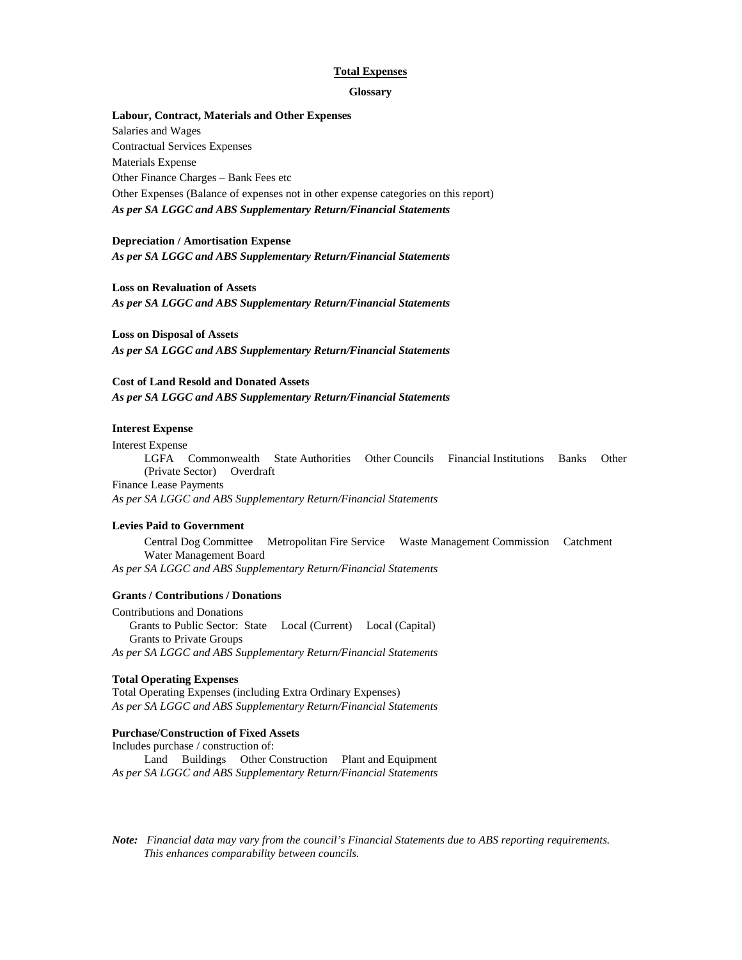## **Total Expenses**

#### **Glossary**

**Labour, Contract, Materials and Other Expenses** Salaries and Wages Contractual Services Expenses Materials Expense Other Finance Charges – Bank Fees etc Other Expenses (Balance of expenses not in other expense categories on this report) *As per SA LGGC and ABS Supplementary Return/Financial Statements* 

## **Depreciation / Amortisation Expense**

*As per SA LGGC and ABS Supplementary Return/Financial Statements* 

## **Loss on Revaluation of Assets**

*As per SA LGGC and ABS Supplementary Return/Financial Statements* 

**Loss on Disposal of Assets**  *As per SA LGGC and ABS Supplementary Return/Financial Statements* 

**Cost of Land Resold and Donated Assets**  *As per SA LGGC and ABS Supplementary Return/Financial Statements* 

#### **Interest Expense**

Interest Expense LGFA Commonwealth State Authorities Other Councils Financial Institutions Banks Other (Private Sector) Overdraft Finance Lease Payments *As per SA LGGC and ABS Supplementary Return/Financial Statements* 

#### **Levies Paid to Government**

Central Dog Committee Metropolitan Fire Service Waste Management Commission Catchment Water Management Board *As per SA LGGC and ABS Supplementary Return/Financial Statements* 

## **Grants / Contributions / Donations**

Contributions and Donations Grants to Public Sector: State Local (Current) Local (Capital) Grants to Private Groups *As per SA LGGC and ABS Supplementary Return/Financial Statements* 

#### **Total Operating Expenses**

Total Operating Expenses (including Extra Ordinary Expenses) *As per SA LGGC and ABS Supplementary Return/Financial Statements* 

#### **Purchase/Construction of Fixed Assets**

Includes purchase / construction of: Land Buildings Other Construction Plant and Equipment *As per SA LGGC and ABS Supplementary Return/Financial Statements* 

*Note: Financial data may vary from the council's Financial Statements due to ABS reporting requirements. This enhances comparability between councils.*